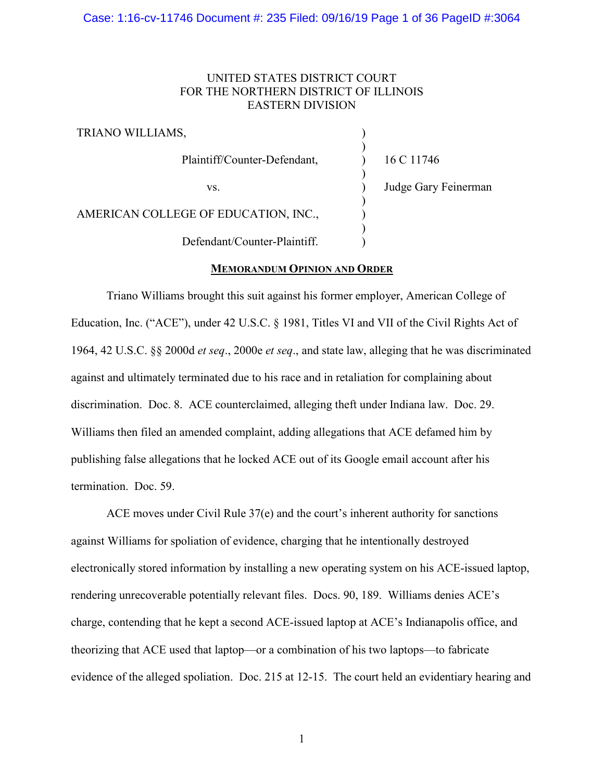## Case: 1:16-cv-11746 Document #: 235 Filed: 09/16/19 Page 1 of 36 PageID #:3064

# UNITED STATES DISTRICT COURT FOR THE NORTHERN DISTRICT OF ILLINOIS EASTERN DIVISION

TRIANO WILLIAMS, Plaintiff/Counter-Defendant, vs. AMERICAN COLLEGE OF EDUCATION, INC., Defendant/Counter-Plaintiff. ) ) ) ) ) ) ) ) ) 16 C 11746 Judge Gary Feinerman

## **MEMORANDUM OPINION AND ORDER**

Triano Williams brought this suit against his former employer, American College of Education, Inc. ("ACE"), under 42 U.S.C. § 1981, Titles VI and VII of the Civil Rights Act of 1964, 42 U.S.C. §§ 2000d *et seq*., 2000e *et seq*., and state law, alleging that he was discriminated against and ultimately terminated due to his race and in retaliation for complaining about discrimination. Doc. 8. ACE counterclaimed, alleging theft under Indiana law. Doc. 29. Williams then filed an amended complaint, adding allegations that ACE defamed him by publishing false allegations that he locked ACE out of its Google email account after his termination. Doc. 59.

ACE moves under Civil Rule 37(e) and the court's inherent authority for sanctions against Williams for spoliation of evidence, charging that he intentionally destroyed electronically stored information by installing a new operating system on his ACE-issued laptop, rendering unrecoverable potentially relevant files. Docs. 90, 189. Williams denies ACE's charge, contending that he kept a second ACE-issued laptop at ACE's Indianapolis office, and theorizing that ACE used that laptop—or a combination of his two laptops—to fabricate evidence of the alleged spoliation. Doc. 215 at 12-15. The court held an evidentiary hearing and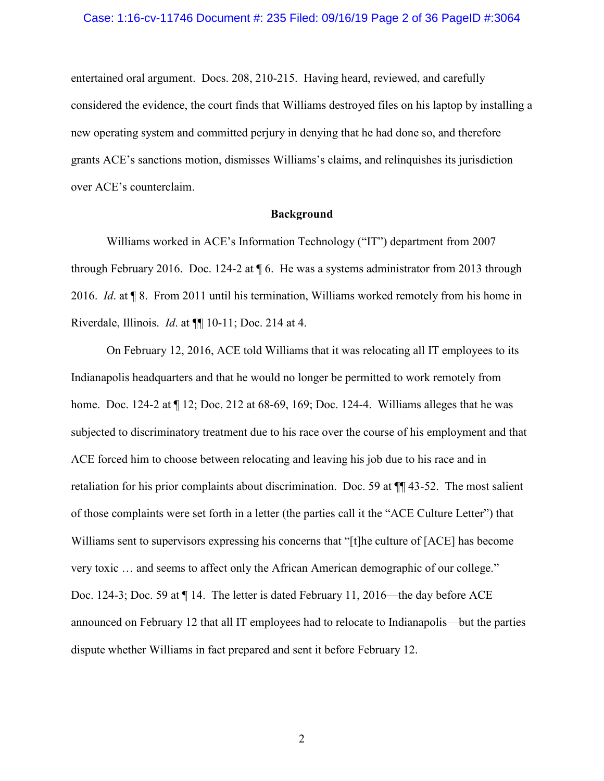entertained oral argument. Docs. 208, 210-215. Having heard, reviewed, and carefully considered the evidence, the court finds that Williams destroyed files on his laptop by installing a new operating system and committed perjury in denying that he had done so, and therefore grants ACE's sanctions motion, dismisses Williams's claims, and relinquishes its jurisdiction over ACE's counterclaim.

## **Background**

Williams worked in ACE's Information Technology ("IT") department from 2007 through February 2016. Doc. 124-2 at ¶ 6. He was a systems administrator from 2013 through 2016. *Id*. at ¶ 8. From 2011 until his termination, Williams worked remotely from his home in Riverdale, Illinois. *Id*. at ¶¶ 10-11; Doc. 214 at 4.

On February 12, 2016, ACE told Williams that it was relocating all IT employees to its Indianapolis headquarters and that he would no longer be permitted to work remotely from home. Doc. 124-2 at ¶ 12; Doc. 212 at 68-69, 169; Doc. 124-4. Williams alleges that he was subjected to discriminatory treatment due to his race over the course of his employment and that ACE forced him to choose between relocating and leaving his job due to his race and in retaliation for his prior complaints about discrimination. Doc. 59 at ¶¶ 43-52. The most salient of those complaints were set forth in a letter (the parties call it the "ACE Culture Letter") that Williams sent to supervisors expressing his concerns that "[t]he culture of [ACE] has become very toxic … and seems to affect only the African American demographic of our college." Doc. 124-3; Doc. 59 at ¶ 14. The letter is dated February 11, 2016—the day before ACE announced on February 12 that all IT employees had to relocate to Indianapolis—but the parties dispute whether Williams in fact prepared and sent it before February 12.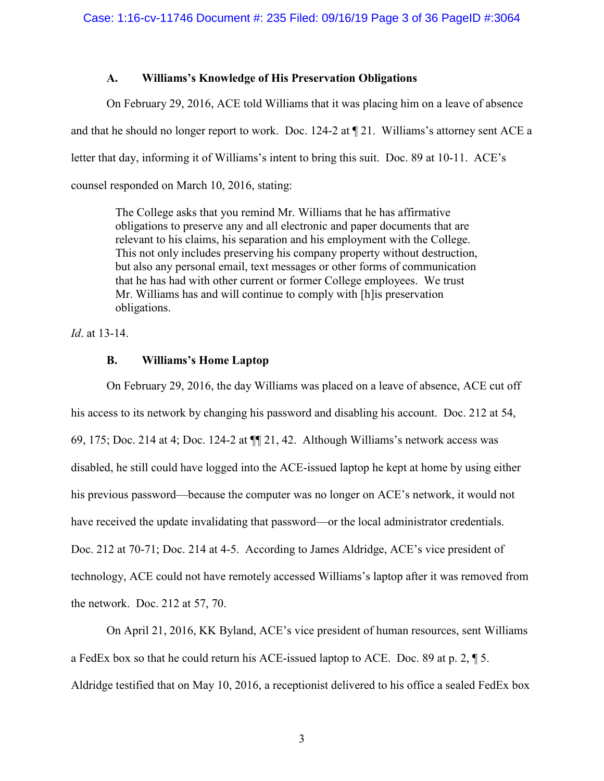# **A. Williams's Knowledge of His Preservation Obligations**

On February 29, 2016, ACE told Williams that it was placing him on a leave of absence and that he should no longer report to work. Doc. 124-2 at ¶ 21. Williams's attorney sent ACE a letter that day, informing it of Williams's intent to bring this suit. Doc. 89 at 10-11. ACE's counsel responded on March 10, 2016, stating:

The College asks that you remind Mr. Williams that he has affirmative obligations to preserve any and all electronic and paper documents that are relevant to his claims, his separation and his employment with the College. This not only includes preserving his company property without destruction, but also any personal email, text messages or other forms of communication that he has had with other current or former College employees. We trust Mr. Williams has and will continue to comply with [h]is preservation obligations.

*Id*. at 13-14.

# **B. Williams's Home Laptop**

On February 29, 2016, the day Williams was placed on a leave of absence, ACE cut off his access to its network by changing his password and disabling his account. Doc. 212 at 54, 69, 175; Doc. 214 at 4; Doc. 124-2 at ¶¶ 21, 42. Although Williams's network access was disabled, he still could have logged into the ACE-issued laptop he kept at home by using either his previous password—because the computer was no longer on ACE's network, it would not have received the update invalidating that password—or the local administrator credentials. Doc. 212 at 70-71; Doc. 214 at 4-5. According to James Aldridge, ACE's vice president of technology, ACE could not have remotely accessed Williams's laptop after it was removed from the network. Doc. 212 at 57, 70.

On April 21, 2016, KK Byland, ACE's vice president of human resources, sent Williams a FedEx box so that he could return his ACE-issued laptop to ACE. Doc. 89 at p. 2,  $\sqrt{\phantom{a}}$  5. Aldridge testified that on May 10, 2016, a receptionist delivered to his office a sealed FedEx box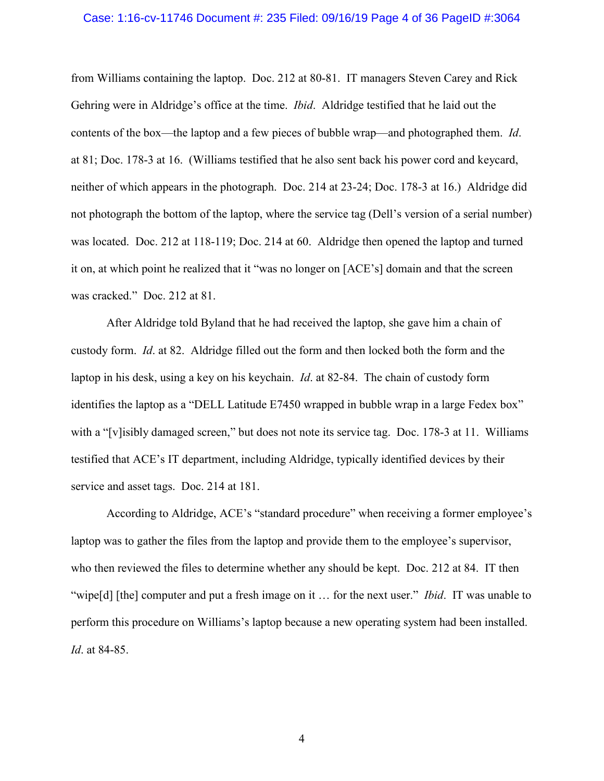## Case: 1:16-cv-11746 Document #: 235 Filed: 09/16/19 Page 4 of 36 PageID #:3064

from Williams containing the laptop. Doc. 212 at 80-81. IT managers Steven Carey and Rick Gehring were in Aldridge's office at the time. *Ibid*. Aldridge testified that he laid out the contents of the box—the laptop and a few pieces of bubble wrap—and photographed them. *Id*. at 81; Doc. 178-3 at 16. (Williams testified that he also sent back his power cord and keycard, neither of which appears in the photograph. Doc. 214 at 23-24; Doc. 178-3 at 16.) Aldridge did not photograph the bottom of the laptop, where the service tag (Dell's version of a serial number) was located. Doc. 212 at 118-119; Doc. 214 at 60. Aldridge then opened the laptop and turned it on, at which point he realized that it "was no longer on [ACE's] domain and that the screen was cracked." Doc. 212 at 81.

After Aldridge told Byland that he had received the laptop, she gave him a chain of custody form. *Id*. at 82. Aldridge filled out the form and then locked both the form and the laptop in his desk, using a key on his keychain. *Id*. at 82-84. The chain of custody form identifies the laptop as a "DELL Latitude E7450 wrapped in bubble wrap in a large Fedex box" with a "[v]isibly damaged screen," but does not note its service tag. Doc. 178-3 at 11. Williams testified that ACE's IT department, including Aldridge, typically identified devices by their service and asset tags. Doc. 214 at 181.

According to Aldridge, ACE's "standard procedure" when receiving a former employee's laptop was to gather the files from the laptop and provide them to the employee's supervisor, who then reviewed the files to determine whether any should be kept. Doc. 212 at 84. IT then "wipe[d] [the] computer and put a fresh image on it … for the next user." *Ibid*. IT was unable to perform this procedure on Williams's laptop because a new operating system had been installed. *Id*. at 84-85.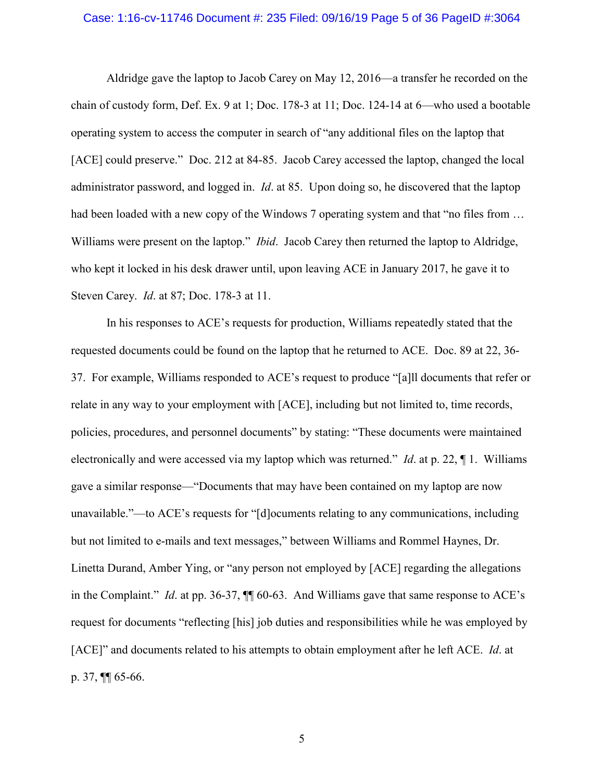## Case: 1:16-cv-11746 Document #: 235 Filed: 09/16/19 Page 5 of 36 PageID #:3064

Aldridge gave the laptop to Jacob Carey on May 12, 2016—a transfer he recorded on the chain of custody form, Def. Ex. 9 at 1; Doc. 178-3 at 11; Doc. 124-14 at 6—who used a bootable operating system to access the computer in search of "any additional files on the laptop that [ACE] could preserve." Doc. 212 at 84-85. Jacob Carey accessed the laptop, changed the local administrator password, and logged in. *Id*. at 85. Upon doing so, he discovered that the laptop had been loaded with a new copy of the Windows 7 operating system and that "no files from ... Williams were present on the laptop." *Ibid*. Jacob Carey then returned the laptop to Aldridge, who kept it locked in his desk drawer until, upon leaving ACE in January 2017, he gave it to Steven Carey. *Id*. at 87; Doc. 178-3 at 11.

In his responses to ACE's requests for production, Williams repeatedly stated that the requested documents could be found on the laptop that he returned to ACE. Doc. 89 at 22, 36- 37. For example, Williams responded to ACE's request to produce "[a]ll documents that refer or relate in any way to your employment with [ACE], including but not limited to, time records, policies, procedures, and personnel documents" by stating: "These documents were maintained electronically and were accessed via my laptop which was returned." *Id*. at p. 22, ¶ 1. Williams gave a similar response—"Documents that may have been contained on my laptop are now unavailable."—to ACE's requests for "[d]ocuments relating to any communications, including but not limited to e-mails and text messages," between Williams and Rommel Haynes, Dr. Linetta Durand, Amber Ying, or "any person not employed by [ACE] regarding the allegations in the Complaint." *Id*. at pp. 36-37, ¶¶ 60-63. And Williams gave that same response to ACE's request for documents "reflecting [his] job duties and responsibilities while he was employed by [ACE]" and documents related to his attempts to obtain employment after he left ACE. *Id*. at p. 37, ¶¶ 65-66.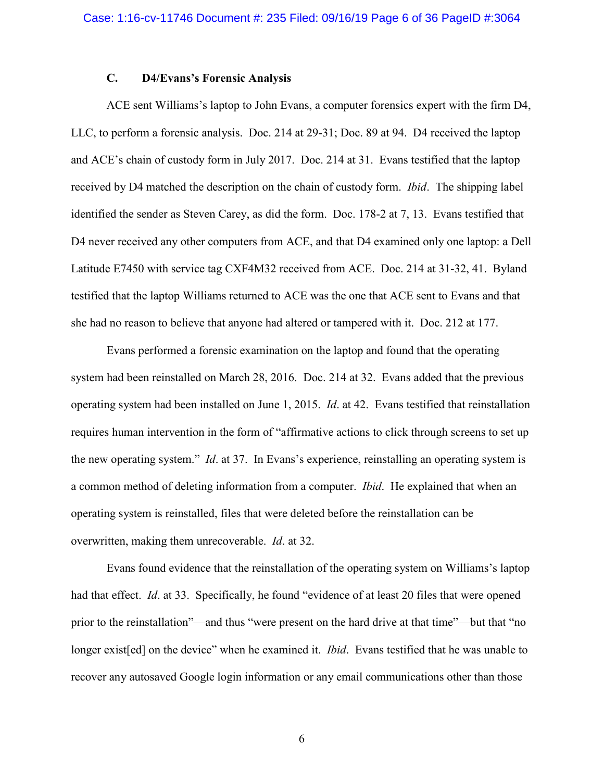# **C. D4/Evans's Forensic Analysis**

ACE sent Williams's laptop to John Evans, a computer forensics expert with the firm D4, LLC, to perform a forensic analysis. Doc. 214 at 29-31; Doc. 89 at 94. D4 received the laptop and ACE's chain of custody form in July 2017. Doc. 214 at 31. Evans testified that the laptop received by D4 matched the description on the chain of custody form. *Ibid*. The shipping label identified the sender as Steven Carey, as did the form. Doc. 178-2 at 7, 13. Evans testified that D4 never received any other computers from ACE, and that D4 examined only one laptop: a Dell Latitude E7450 with service tag CXF4M32 received from ACE. Doc. 214 at 31-32, 41. Byland testified that the laptop Williams returned to ACE was the one that ACE sent to Evans and that she had no reason to believe that anyone had altered or tampered with it. Doc. 212 at 177.

Evans performed a forensic examination on the laptop and found that the operating system had been reinstalled on March 28, 2016. Doc. 214 at 32. Evans added that the previous operating system had been installed on June 1, 2015. *Id*. at 42. Evans testified that reinstallation requires human intervention in the form of "affirmative actions to click through screens to set up the new operating system." *Id*. at 37. In Evans's experience, reinstalling an operating system is a common method of deleting information from a computer. *Ibid*. He explained that when an operating system is reinstalled, files that were deleted before the reinstallation can be overwritten, making them unrecoverable. *Id*. at 32.

Evans found evidence that the reinstallation of the operating system on Williams's laptop had that effect. *Id*. at 33. Specifically, he found "evidence of at least 20 files that were opened prior to the reinstallation"—and thus "were present on the hard drive at that time"—but that "no longer exist[ed] on the device" when he examined it. *Ibid*. Evans testified that he was unable to recover any autosaved Google login information or any email communications other than those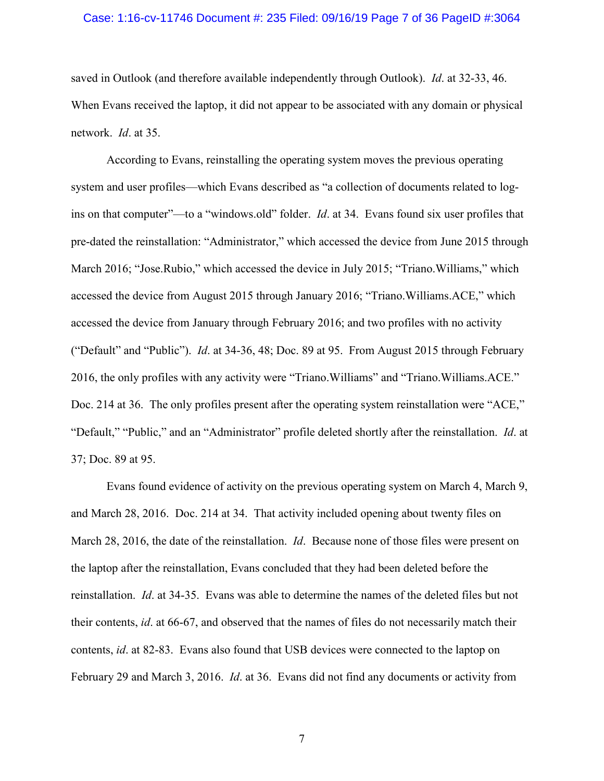## Case: 1:16-cv-11746 Document #: 235 Filed: 09/16/19 Page 7 of 36 PageID #:3064

saved in Outlook (and therefore available independently through Outlook). *Id*. at 32-33, 46. When Evans received the laptop, it did not appear to be associated with any domain or physical network. *Id*. at 35.

According to Evans, reinstalling the operating system moves the previous operating system and user profiles—which Evans described as "a collection of documents related to logins on that computer"—to a "windows.old" folder. *Id*. at 34. Evans found six user profiles that pre-dated the reinstallation: "Administrator," which accessed the device from June 2015 through March 2016; "Jose.Rubio," which accessed the device in July 2015; "Triano.Williams," which accessed the device from August 2015 through January 2016; "Triano.Williams.ACE," which accessed the device from January through February 2016; and two profiles with no activity ("Default" and "Public"). *Id*. at 34-36, 48; Doc. 89 at 95. From August 2015 through February 2016, the only profiles with any activity were "Triano.Williams" and "Triano.Williams.ACE." Doc. 214 at 36. The only profiles present after the operating system reinstallation were "ACE," "Default," "Public," and an "Administrator" profile deleted shortly after the reinstallation. *Id*. at 37; Doc. 89 at 95.

Evans found evidence of activity on the previous operating system on March 4, March 9, and March 28, 2016. Doc. 214 at 34. That activity included opening about twenty files on March 28, 2016, the date of the reinstallation. *Id*. Because none of those files were present on the laptop after the reinstallation, Evans concluded that they had been deleted before the reinstallation. *Id*. at 34-35. Evans was able to determine the names of the deleted files but not their contents, *id*. at 66-67, and observed that the names of files do not necessarily match their contents, *id*. at 82-83. Evans also found that USB devices were connected to the laptop on February 29 and March 3, 2016. *Id*. at 36. Evans did not find any documents or activity from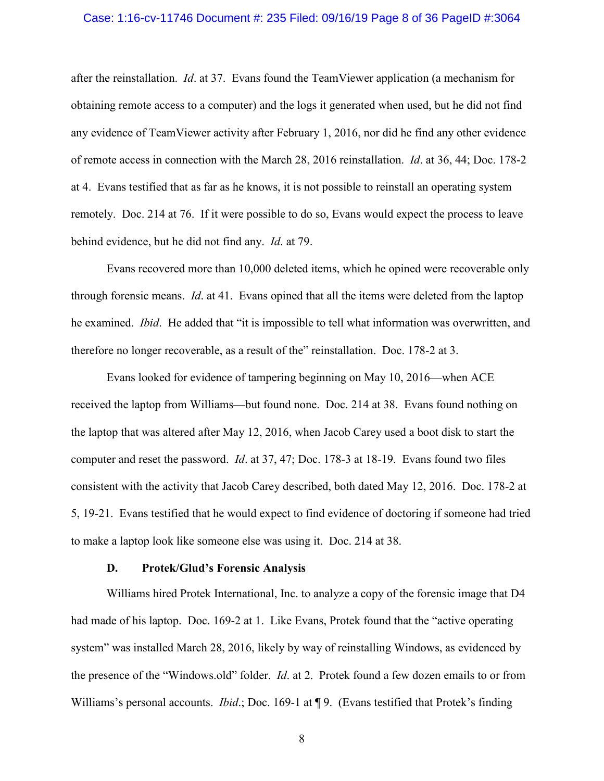## Case: 1:16-cv-11746 Document #: 235 Filed: 09/16/19 Page 8 of 36 PageID #:3064

after the reinstallation. *Id*. at 37. Evans found the TeamViewer application (a mechanism for obtaining remote access to a computer) and the logs it generated when used, but he did not find any evidence of TeamViewer activity after February 1, 2016, nor did he find any other evidence of remote access in connection with the March 28, 2016 reinstallation. *Id*. at 36, 44; Doc. 178-2 at 4. Evans testified that as far as he knows, it is not possible to reinstall an operating system remotely. Doc. 214 at 76. If it were possible to do so, Evans would expect the process to leave behind evidence, but he did not find any. *Id*. at 79.

Evans recovered more than 10,000 deleted items, which he opined were recoverable only through forensic means. *Id*. at 41. Evans opined that all the items were deleted from the laptop he examined. *Ibid*. He added that "it is impossible to tell what information was overwritten, and therefore no longer recoverable, as a result of the" reinstallation. Doc. 178-2 at 3.

Evans looked for evidence of tampering beginning on May 10, 2016—when ACE received the laptop from Williams—but found none. Doc. 214 at 38. Evans found nothing on the laptop that was altered after May 12, 2016, when Jacob Carey used a boot disk to start the computer and reset the password. *Id*. at 37, 47; Doc. 178-3 at 18-19. Evans found two files consistent with the activity that Jacob Carey described, both dated May 12, 2016. Doc. 178-2 at 5, 19-21. Evans testified that he would expect to find evidence of doctoring if someone had tried to make a laptop look like someone else was using it. Doc. 214 at 38.

## **D. Protek/Glud's Forensic Analysis**

Williams hired Protek International, Inc. to analyze a copy of the forensic image that D4 had made of his laptop. Doc. 169-2 at 1. Like Evans, Protek found that the "active operating system" was installed March 28, 2016, likely by way of reinstalling Windows, as evidenced by the presence of the "Windows.old" folder. *Id*. at 2. Protek found a few dozen emails to or from Williams's personal accounts. *Ibid*.; Doc. 169-1 at ¶ 9. (Evans testified that Protek's finding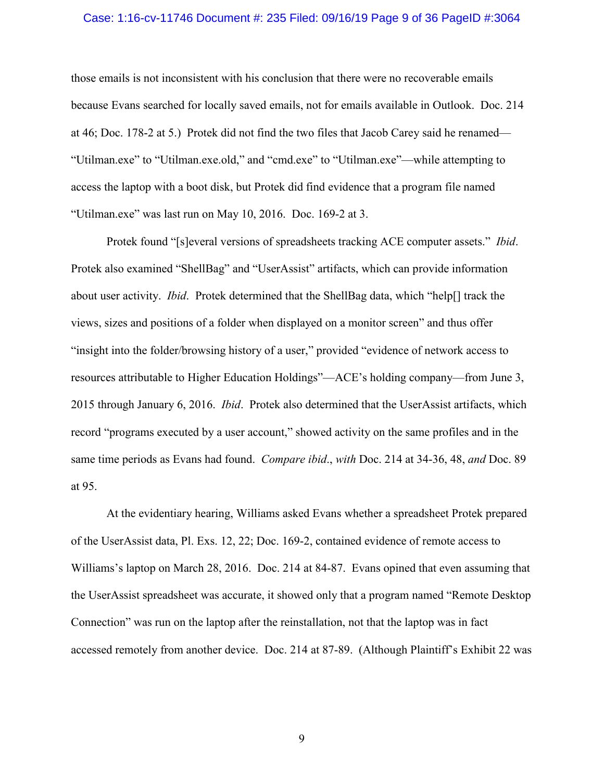## Case: 1:16-cv-11746 Document #: 235 Filed: 09/16/19 Page 9 of 36 PageID #:3064

those emails is not inconsistent with his conclusion that there were no recoverable emails because Evans searched for locally saved emails, not for emails available in Outlook. Doc. 214 at 46; Doc. 178-2 at 5.) Protek did not find the two files that Jacob Carey said he renamed— "Utilman.exe" to "Utilman.exe.old," and "cmd.exe" to "Utilman.exe"—while attempting to access the laptop with a boot disk, but Protek did find evidence that a program file named "Utilman.exe" was last run on May 10, 2016. Doc. 169-2 at 3.

Protek found "[s]everal versions of spreadsheets tracking ACE computer assets." *Ibid*. Protek also examined "ShellBag" and "UserAssist" artifacts, which can provide information about user activity. *Ibid*. Protek determined that the ShellBag data, which "help[] track the views, sizes and positions of a folder when displayed on a monitor screen" and thus offer "insight into the folder/browsing history of a user," provided "evidence of network access to resources attributable to Higher Education Holdings"—ACE's holding company—from June 3, 2015 through January 6, 2016. *Ibid*. Protek also determined that the UserAssist artifacts, which record "programs executed by a user account," showed activity on the same profiles and in the same time periods as Evans had found. *Compare ibid*., *with* Doc. 214 at 34-36, 48, *and* Doc. 89 at 95.

At the evidentiary hearing, Williams asked Evans whether a spreadsheet Protek prepared of the UserAssist data, Pl. Exs. 12, 22; Doc. 169-2, contained evidence of remote access to Williams's laptop on March 28, 2016. Doc. 214 at 84-87. Evans opined that even assuming that the UserAssist spreadsheet was accurate, it showed only that a program named "Remote Desktop Connection" was run on the laptop after the reinstallation, not that the laptop was in fact accessed remotely from another device. Doc. 214 at 87-89. (Although Plaintiff's Exhibit 22 was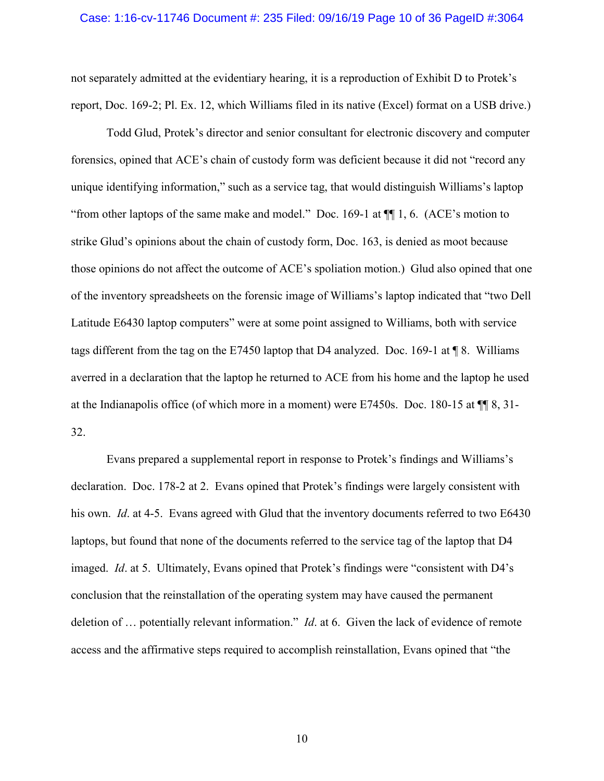## Case: 1:16-cv-11746 Document #: 235 Filed: 09/16/19 Page 10 of 36 PageID #:3064

not separately admitted at the evidentiary hearing, it is a reproduction of Exhibit D to Protek's report, Doc. 169-2; Pl. Ex. 12, which Williams filed in its native (Excel) format on a USB drive.)

Todd Glud, Protek's director and senior consultant for electronic discovery and computer forensics, opined that ACE's chain of custody form was deficient because it did not "record any unique identifying information," such as a service tag, that would distinguish Williams's laptop "from other laptops of the same make and model." Doc. 169-1 at ¶¶ 1, 6. (ACE's motion to strike Glud's opinions about the chain of custody form, Doc. 163, is denied as moot because those opinions do not affect the outcome of ACE's spoliation motion.) Glud also opined that one of the inventory spreadsheets on the forensic image of Williams's laptop indicated that "two Dell Latitude E6430 laptop computers" were at some point assigned to Williams, both with service tags different from the tag on the E7450 laptop that D4 analyzed. Doc. 169-1 at  $\P$  8. Williams averred in a declaration that the laptop he returned to ACE from his home and the laptop he used at the Indianapolis office (of which more in a moment) were E7450s. Doc. 180-15 at ¶¶ 8, 31- 32.

Evans prepared a supplemental report in response to Protek's findings and Williams's declaration. Doc. 178-2 at 2. Evans opined that Protek's findings were largely consistent with his own. *Id*. at 4-5. Evans agreed with Glud that the inventory documents referred to two E6430 laptops, but found that none of the documents referred to the service tag of the laptop that D4 imaged. *Id*. at 5. Ultimately, Evans opined that Protek's findings were "consistent with D4's conclusion that the reinstallation of the operating system may have caused the permanent deletion of … potentially relevant information." *Id*. at 6. Given the lack of evidence of remote access and the affirmative steps required to accomplish reinstallation, Evans opined that "the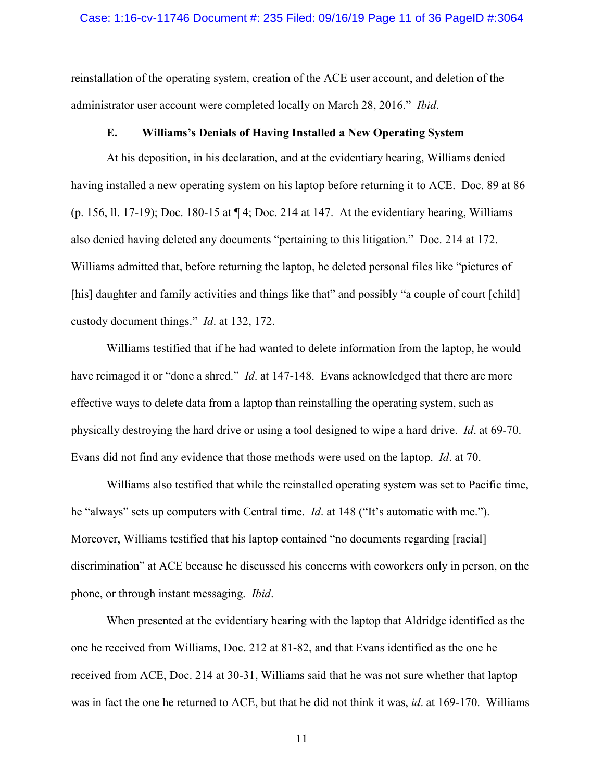## Case: 1:16-cv-11746 Document #: 235 Filed: 09/16/19 Page 11 of 36 PageID #:3064

reinstallation of the operating system, creation of the ACE user account, and deletion of the administrator user account were completed locally on March 28, 2016." *Ibid*.

## **E. Williams's Denials of Having Installed a New Operating System**

At his deposition, in his declaration, and at the evidentiary hearing, Williams denied having installed a new operating system on his laptop before returning it to ACE. Doc. 89 at 86 (p. 156, ll. 17-19); Doc. 180-15 at ¶ 4; Doc. 214 at 147. At the evidentiary hearing, Williams also denied having deleted any documents "pertaining to this litigation." Doc. 214 at 172. Williams admitted that, before returning the laptop, he deleted personal files like "pictures of [his] daughter and family activities and things like that" and possibly "a couple of court [child] custody document things." *Id*. at 132, 172.

Williams testified that if he had wanted to delete information from the laptop, he would have reimaged it or "done a shred." *Id*. at 147-148. Evans acknowledged that there are more effective ways to delete data from a laptop than reinstalling the operating system, such as physically destroying the hard drive or using a tool designed to wipe a hard drive. *Id*. at 69-70. Evans did not find any evidence that those methods were used on the laptop. *Id*. at 70.

Williams also testified that while the reinstalled operating system was set to Pacific time, he "always" sets up computers with Central time. *Id*. at 148 ("It's automatic with me."). Moreover, Williams testified that his laptop contained "no documents regarding [racial] discrimination" at ACE because he discussed his concerns with coworkers only in person, on the phone, or through instant messaging. *Ibid*.

When presented at the evidentiary hearing with the laptop that Aldridge identified as the one he received from Williams, Doc. 212 at 81-82, and that Evans identified as the one he received from ACE, Doc. 214 at 30-31, Williams said that he was not sure whether that laptop was in fact the one he returned to ACE, but that he did not think it was, *id*. at 169-170. Williams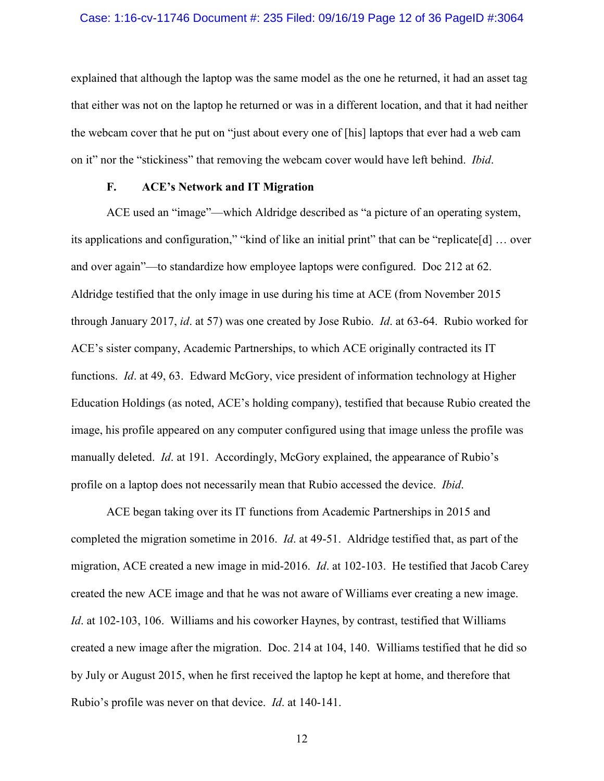## Case: 1:16-cv-11746 Document #: 235 Filed: 09/16/19 Page 12 of 36 PageID #:3064

explained that although the laptop was the same model as the one he returned, it had an asset tag that either was not on the laptop he returned or was in a different location, and that it had neither the webcam cover that he put on "just about every one of [his] laptops that ever had a web cam on it" nor the "stickiness" that removing the webcam cover would have left behind. *Ibid*.

## **F. ACE's Network and IT Migration**

ACE used an "image"—which Aldridge described as "a picture of an operating system, its applications and configuration," "kind of like an initial print" that can be "replicate[d] … over and over again"—to standardize how employee laptops were configured. Doc 212 at 62. Aldridge testified that the only image in use during his time at ACE (from November 2015 through January 2017, *id*. at 57) was one created by Jose Rubio. *Id*. at 63-64. Rubio worked for ACE's sister company, Academic Partnerships, to which ACE originally contracted its IT functions. *Id*. at 49, 63. Edward McGory, vice president of information technology at Higher Education Holdings (as noted, ACE's holding company), testified that because Rubio created the image, his profile appeared on any computer configured using that image unless the profile was manually deleted. *Id*. at 191. Accordingly, McGory explained, the appearance of Rubio's profile on a laptop does not necessarily mean that Rubio accessed the device. *Ibid*.

ACE began taking over its IT functions from Academic Partnerships in 2015 and completed the migration sometime in 2016. *Id*. at 49-51. Aldridge testified that, as part of the migration, ACE created a new image in mid-2016. *Id*. at 102-103. He testified that Jacob Carey created the new ACE image and that he was not aware of Williams ever creating a new image. *Id*. at 102-103, 106. Williams and his coworker Haynes, by contrast, testified that Williams created a new image after the migration. Doc. 214 at 104, 140. Williams testified that he did so by July or August 2015, when he first received the laptop he kept at home, and therefore that Rubio's profile was never on that device. *Id*. at 140-141.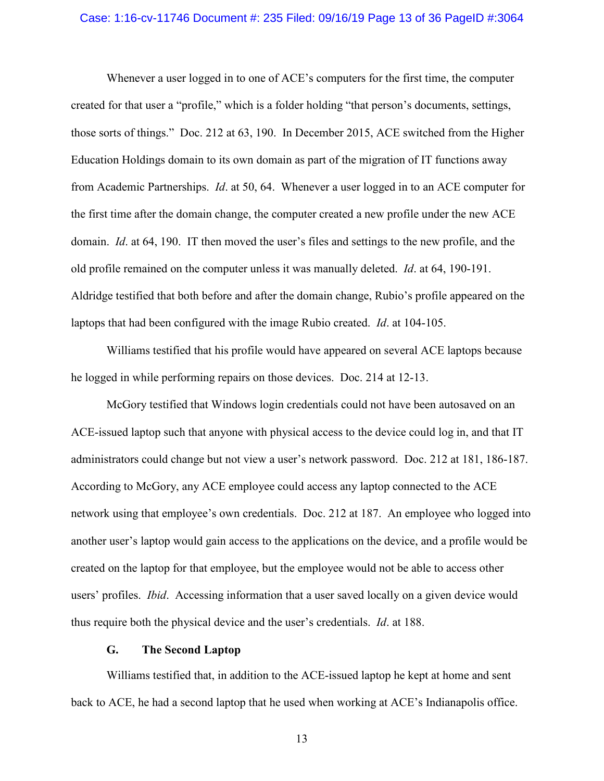## Case: 1:16-cv-11746 Document #: 235 Filed: 09/16/19 Page 13 of 36 PageID #:3064

Whenever a user logged in to one of ACE's computers for the first time, the computer created for that user a "profile," which is a folder holding "that person's documents, settings, those sorts of things." Doc. 212 at 63, 190. In December 2015, ACE switched from the Higher Education Holdings domain to its own domain as part of the migration of IT functions away from Academic Partnerships. *Id*. at 50, 64. Whenever a user logged in to an ACE computer for the first time after the domain change, the computer created a new profile under the new ACE domain. *Id*. at 64, 190. IT then moved the user's files and settings to the new profile, and the old profile remained on the computer unless it was manually deleted. *Id*. at 64, 190-191. Aldridge testified that both before and after the domain change, Rubio's profile appeared on the laptops that had been configured with the image Rubio created. *Id*. at 104-105.

Williams testified that his profile would have appeared on several ACE laptops because he logged in while performing repairs on those devices. Doc. 214 at 12-13.

McGory testified that Windows login credentials could not have been autosaved on an ACE-issued laptop such that anyone with physical access to the device could log in, and that IT administrators could change but not view a user's network password. Doc. 212 at 181, 186-187. According to McGory, any ACE employee could access any laptop connected to the ACE network using that employee's own credentials. Doc. 212 at 187. An employee who logged into another user's laptop would gain access to the applications on the device, and a profile would be created on the laptop for that employee, but the employee would not be able to access other users' profiles. *Ibid*. Accessing information that a user saved locally on a given device would thus require both the physical device and the user's credentials. *Id*. at 188.

## **G. The Second Laptop**

Williams testified that, in addition to the ACE-issued laptop he kept at home and sent back to ACE, he had a second laptop that he used when working at ACE's Indianapolis office.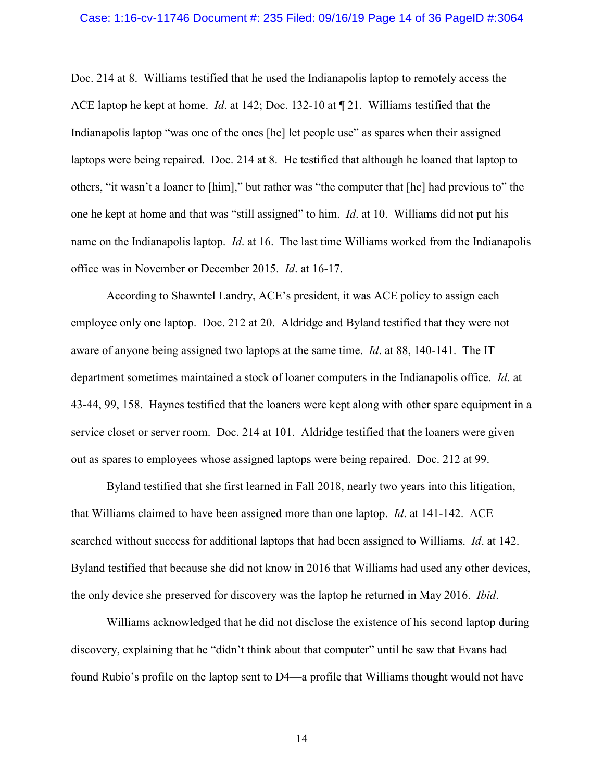## Case: 1:16-cv-11746 Document #: 235 Filed: 09/16/19 Page 14 of 36 PageID #:3064

Doc. 214 at 8. Williams testified that he used the Indianapolis laptop to remotely access the ACE laptop he kept at home. *Id*. at 142; Doc. 132-10 at ¶ 21. Williams testified that the Indianapolis laptop "was one of the ones [he] let people use" as spares when their assigned laptops were being repaired. Doc. 214 at 8. He testified that although he loaned that laptop to others, "it wasn't a loaner to [him]," but rather was "the computer that [he] had previous to" the one he kept at home and that was "still assigned" to him. *Id*. at 10. Williams did not put his name on the Indianapolis laptop. *Id*. at 16. The last time Williams worked from the Indianapolis office was in November or December 2015. *Id*. at 16-17.

According to Shawntel Landry, ACE's president, it was ACE policy to assign each employee only one laptop. Doc. 212 at 20. Aldridge and Byland testified that they were not aware of anyone being assigned two laptops at the same time. *Id*. at 88, 140-141. The IT department sometimes maintained a stock of loaner computers in the Indianapolis office. *Id*. at 43-44, 99, 158. Haynes testified that the loaners were kept along with other spare equipment in a service closet or server room. Doc. 214 at 101. Aldridge testified that the loaners were given out as spares to employees whose assigned laptops were being repaired. Doc. 212 at 99.

Byland testified that she first learned in Fall 2018, nearly two years into this litigation, that Williams claimed to have been assigned more than one laptop. *Id*. at 141-142. ACE searched without success for additional laptops that had been assigned to Williams. *Id*. at 142. Byland testified that because she did not know in 2016 that Williams had used any other devices, the only device she preserved for discovery was the laptop he returned in May 2016. *Ibid*.

Williams acknowledged that he did not disclose the existence of his second laptop during discovery, explaining that he "didn't think about that computer" until he saw that Evans had found Rubio's profile on the laptop sent to D4—a profile that Williams thought would not have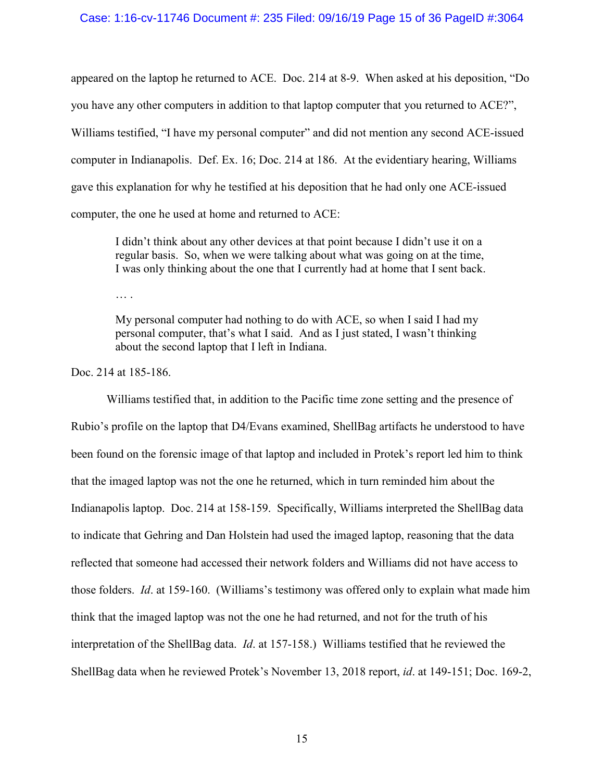# Case: 1:16-cv-11746 Document #: 235 Filed: 09/16/19 Page 15 of 36 PageID #:3064

appeared on the laptop he returned to ACE. Doc. 214 at 8-9. When asked at his deposition, "Do you have any other computers in addition to that laptop computer that you returned to ACE?", Williams testified, "I have my personal computer" and did not mention any second ACE-issued computer in Indianapolis. Def. Ex. 16; Doc. 214 at 186. At the evidentiary hearing, Williams gave this explanation for why he testified at his deposition that he had only one ACE-issued computer, the one he used at home and returned to ACE:

I didn't think about any other devices at that point because I didn't use it on a regular basis. So, when we were talking about what was going on at the time, I was only thinking about the one that I currently had at home that I sent back.

… .

My personal computer had nothing to do with ACE, so when I said I had my personal computer, that's what I said. And as I just stated, I wasn't thinking about the second laptop that I left in Indiana.

Doc. 214 at 185-186.

Williams testified that, in addition to the Pacific time zone setting and the presence of Rubio's profile on the laptop that D4/Evans examined, ShellBag artifacts he understood to have been found on the forensic image of that laptop and included in Protek's report led him to think that the imaged laptop was not the one he returned, which in turn reminded him about the Indianapolis laptop. Doc. 214 at 158-159. Specifically, Williams interpreted the ShellBag data to indicate that Gehring and Dan Holstein had used the imaged laptop, reasoning that the data reflected that someone had accessed their network folders and Williams did not have access to those folders. *Id*. at 159-160. (Williams's testimony was offered only to explain what made him think that the imaged laptop was not the one he had returned, and not for the truth of his interpretation of the ShellBag data. *Id*. at 157-158.) Williams testified that he reviewed the ShellBag data when he reviewed Protek's November 13, 2018 report, *id*. at 149-151; Doc. 169-2,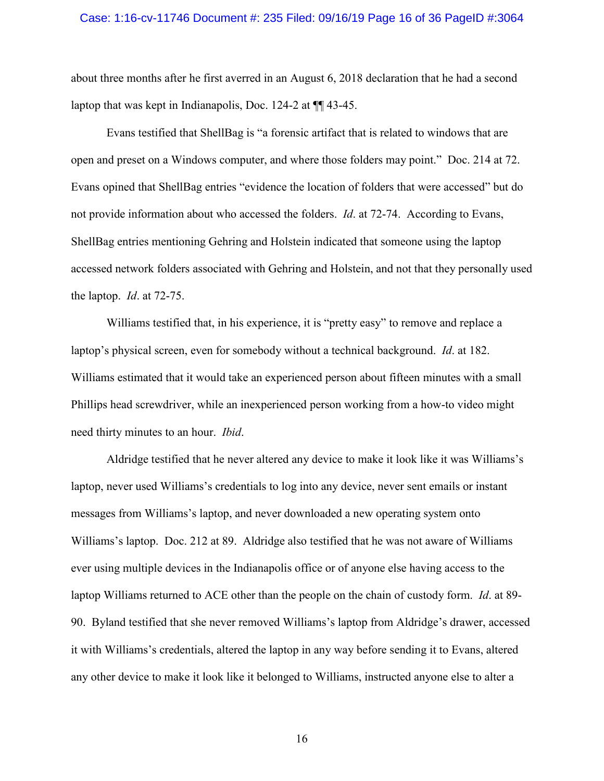## Case: 1:16-cv-11746 Document #: 235 Filed: 09/16/19 Page 16 of 36 PageID #:3064

about three months after he first averred in an August 6, 2018 declaration that he had a second laptop that was kept in Indianapolis, Doc. 124-2 at ¶¶ 43-45.

Evans testified that ShellBag is "a forensic artifact that is related to windows that are open and preset on a Windows computer, and where those folders may point." Doc. 214 at 72. Evans opined that ShellBag entries "evidence the location of folders that were accessed" but do not provide information about who accessed the folders. *Id*. at 72-74. According to Evans, ShellBag entries mentioning Gehring and Holstein indicated that someone using the laptop accessed network folders associated with Gehring and Holstein, and not that they personally used the laptop. *Id*. at 72-75.

Williams testified that, in his experience, it is "pretty easy" to remove and replace a laptop's physical screen, even for somebody without a technical background. *Id*. at 182. Williams estimated that it would take an experienced person about fifteen minutes with a small Phillips head screwdriver, while an inexperienced person working from a how-to video might need thirty minutes to an hour. *Ibid*.

Aldridge testified that he never altered any device to make it look like it was Williams's laptop, never used Williams's credentials to log into any device, never sent emails or instant messages from Williams's laptop, and never downloaded a new operating system onto Williams's laptop. Doc. 212 at 89. Aldridge also testified that he was not aware of Williams ever using multiple devices in the Indianapolis office or of anyone else having access to the laptop Williams returned to ACE other than the people on the chain of custody form. *Id*. at 89- 90. Byland testified that she never removed Williams's laptop from Aldridge's drawer, accessed it with Williams's credentials, altered the laptop in any way before sending it to Evans, altered any other device to make it look like it belonged to Williams, instructed anyone else to alter a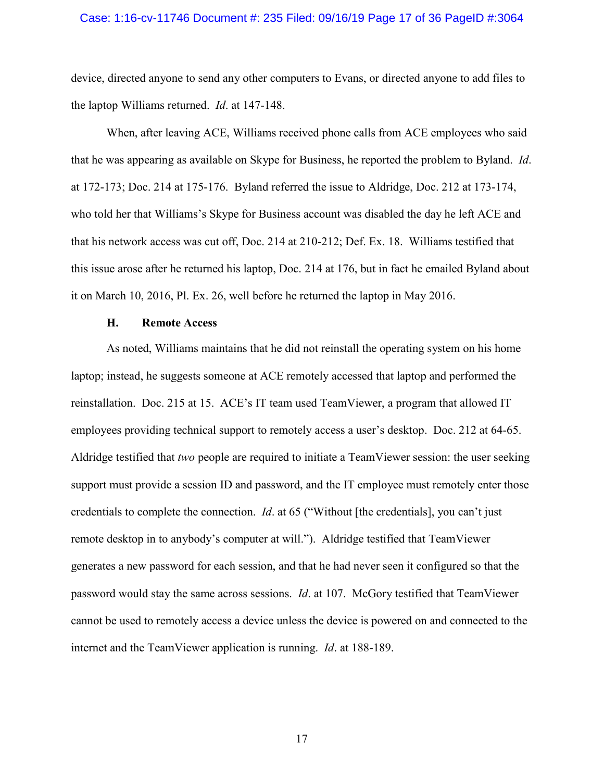## Case: 1:16-cv-11746 Document #: 235 Filed: 09/16/19 Page 17 of 36 PageID #:3064

device, directed anyone to send any other computers to Evans, or directed anyone to add files to the laptop Williams returned. *Id*. at 147-148.

When, after leaving ACE, Williams received phone calls from ACE employees who said that he was appearing as available on Skype for Business, he reported the problem to Byland. *Id*. at 172-173; Doc. 214 at 175-176. Byland referred the issue to Aldridge, Doc. 212 at 173-174, who told her that Williams's Skype for Business account was disabled the day he left ACE and that his network access was cut off, Doc. 214 at 210-212; Def. Ex. 18. Williams testified that this issue arose after he returned his laptop, Doc. 214 at 176, but in fact he emailed Byland about it on March 10, 2016, Pl. Ex. 26, well before he returned the laptop in May 2016.

## **H. Remote Access**

As noted, Williams maintains that he did not reinstall the operating system on his home laptop; instead, he suggests someone at ACE remotely accessed that laptop and performed the reinstallation. Doc. 215 at 15. ACE's IT team used TeamViewer, a program that allowed IT employees providing technical support to remotely access a user's desktop. Doc. 212 at 64-65. Aldridge testified that *two* people are required to initiate a TeamViewer session: the user seeking support must provide a session ID and password, and the IT employee must remotely enter those credentials to complete the connection. *Id*. at 65 ("Without [the credentials], you can't just remote desktop in to anybody's computer at will."). Aldridge testified that TeamViewer generates a new password for each session, and that he had never seen it configured so that the password would stay the same across sessions. *Id*. at 107. McGory testified that TeamViewer cannot be used to remotely access a device unless the device is powered on and connected to the internet and the TeamViewer application is running. *Id*. at 188-189.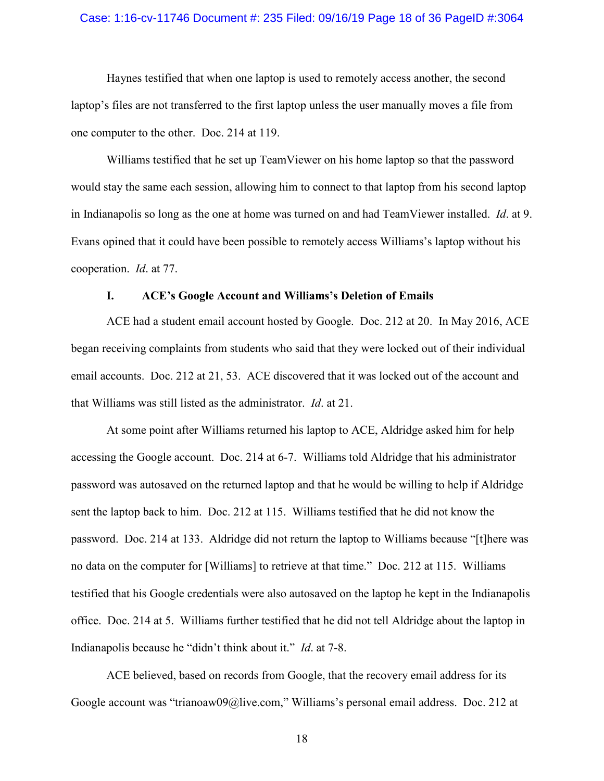## Case: 1:16-cv-11746 Document #: 235 Filed: 09/16/19 Page 18 of 36 PageID #:3064

Haynes testified that when one laptop is used to remotely access another, the second laptop's files are not transferred to the first laptop unless the user manually moves a file from one computer to the other. Doc. 214 at 119.

Williams testified that he set up TeamViewer on his home laptop so that the password would stay the same each session, allowing him to connect to that laptop from his second laptop in Indianapolis so long as the one at home was turned on and had TeamViewer installed. *Id*. at 9. Evans opined that it could have been possible to remotely access Williams's laptop without his cooperation. *Id*. at 77.

## **I. ACE's Google Account and Williams's Deletion of Emails**

ACE had a student email account hosted by Google. Doc. 212 at 20. In May 2016, ACE began receiving complaints from students who said that they were locked out of their individual email accounts. Doc. 212 at 21, 53. ACE discovered that it was locked out of the account and that Williams was still listed as the administrator. *Id*. at 21.

At some point after Williams returned his laptop to ACE, Aldridge asked him for help accessing the Google account. Doc. 214 at 6-7. Williams told Aldridge that his administrator password was autosaved on the returned laptop and that he would be willing to help if Aldridge sent the laptop back to him. Doc. 212 at 115. Williams testified that he did not know the password. Doc. 214 at 133. Aldridge did not return the laptop to Williams because "[t]here was no data on the computer for [Williams] to retrieve at that time." Doc. 212 at 115. Williams testified that his Google credentials were also autosaved on the laptop he kept in the Indianapolis office. Doc. 214 at 5. Williams further testified that he did not tell Aldridge about the laptop in Indianapolis because he "didn't think about it." *Id*. at 7-8.

ACE believed, based on records from Google, that the recovery email address for its Google account was "trianoaw09@live.com," Williams's personal email address. Doc. 212 at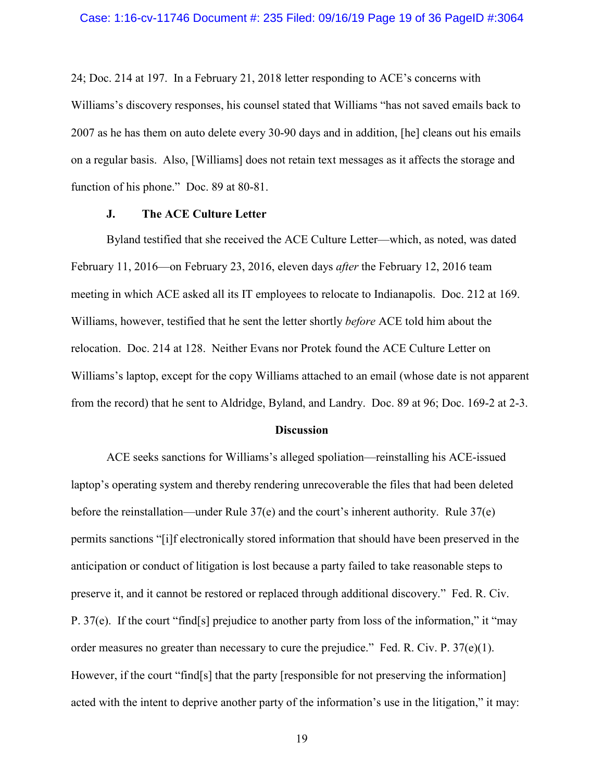24; Doc. 214 at 197. In a February 21, 2018 letter responding to ACE's concerns with Williams's discovery responses, his counsel stated that Williams "has not saved emails back to 2007 as he has them on auto delete every 30-90 days and in addition, [he] cleans out his emails on a regular basis. Also, [Williams] does not retain text messages as it affects the storage and function of his phone." Doc. 89 at 80-81.

# **J. The ACE Culture Letter**

Byland testified that she received the ACE Culture Letter—which, as noted, was dated February 11, 2016—on February 23, 2016, eleven days *after* the February 12, 2016 team meeting in which ACE asked all its IT employees to relocate to Indianapolis. Doc. 212 at 169. Williams, however, testified that he sent the letter shortly *before* ACE told him about the relocation. Doc. 214 at 128. Neither Evans nor Protek found the ACE Culture Letter on Williams's laptop, except for the copy Williams attached to an email (whose date is not apparent from the record) that he sent to Aldridge, Byland, and Landry. Doc. 89 at 96; Doc. 169-2 at 2-3.

#### **Discussion**

ACE seeks sanctions for Williams's alleged spoliation—reinstalling his ACE-issued laptop's operating system and thereby rendering unrecoverable the files that had been deleted before the reinstallation—under Rule 37(e) and the court's inherent authority. Rule 37(e) permits sanctions "[i]f electronically stored information that should have been preserved in the anticipation or conduct of litigation is lost because a party failed to take reasonable steps to preserve it, and it cannot be restored or replaced through additional discovery." Fed. R. Civ. P. 37(e). If the court "find[s] prejudice to another party from loss of the information," it "may order measures no greater than necessary to cure the prejudice." Fed. R. Civ. P.  $37(e)(1)$ . However, if the court "find[s] that the party [responsible for not preserving the information] acted with the intent to deprive another party of the information's use in the litigation," it may: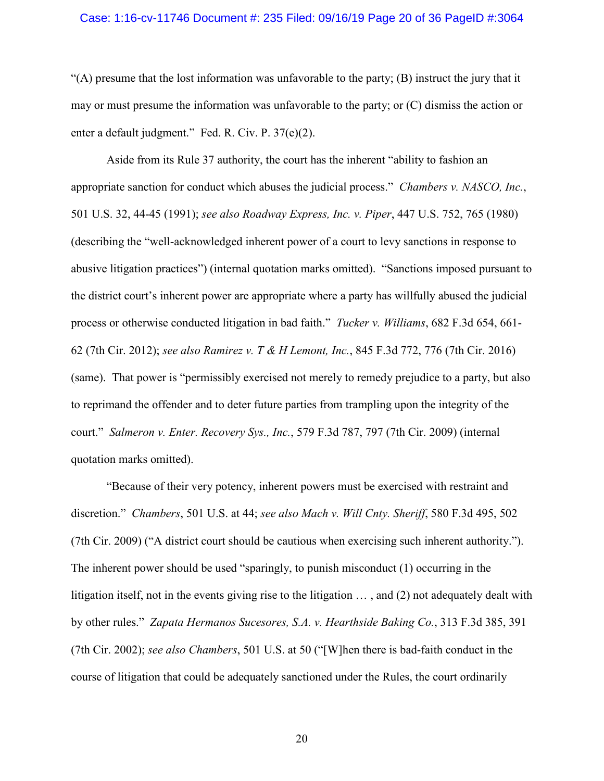## Case: 1:16-cv-11746 Document #: 235 Filed: 09/16/19 Page 20 of 36 PageID #:3064

 $(A)$  presume that the lost information was unfavorable to the party;  $(B)$  instruct the jury that it may or must presume the information was unfavorable to the party; or (C) dismiss the action or enter a default judgment." Fed. R. Civ. P. 37(e)(2).

Aside from its Rule 37 authority, the court has the inherent "ability to fashion an appropriate sanction for conduct which abuses the judicial process." *Chambers v. NASCO, Inc.*, 501 U.S. 32, 44-45 (1991); *see also Roadway Express, Inc. v. Piper*, 447 U.S. 752, 765 (1980) (describing the "well-acknowledged inherent power of a court to levy sanctions in response to abusive litigation practices") (internal quotation marks omitted). "Sanctions imposed pursuant to the district court's inherent power are appropriate where a party has willfully abused the judicial process or otherwise conducted litigation in bad faith." *Tucker v. Williams*, 682 F.3d 654, 661- 62 (7th Cir. 2012); *see also Ramirez v. T & H Lemont, Inc.*, 845 F.3d 772, 776 (7th Cir. 2016) (same). That power is "permissibly exercised not merely to remedy prejudice to a party, but also to reprimand the offender and to deter future parties from trampling upon the integrity of the court." *Salmeron v. Enter. Recovery Sys., Inc.*, 579 F.3d 787, 797 (7th Cir. 2009) (internal quotation marks omitted).

"Because of their very potency, inherent powers must be exercised with restraint and discretion." *Chambers*, 501 U.S. at 44; *see also Mach v. Will Cnty. Sheriff*, 580 F.3d 495, 502 (7th Cir. 2009) ("A district court should be cautious when exercising such inherent authority."). The inherent power should be used "sparingly, to punish misconduct (1) occurring in the litigation itself, not in the events giving rise to the litigation … , and (2) not adequately dealt with by other rules." *Zapata Hermanos Sucesores, S.A. v. Hearthside Baking Co.*, 313 F.3d 385, 391 (7th Cir. 2002); *see also Chambers*, 501 U.S. at 50 ("[W]hen there is bad-faith conduct in the course of litigation that could be adequately sanctioned under the Rules, the court ordinarily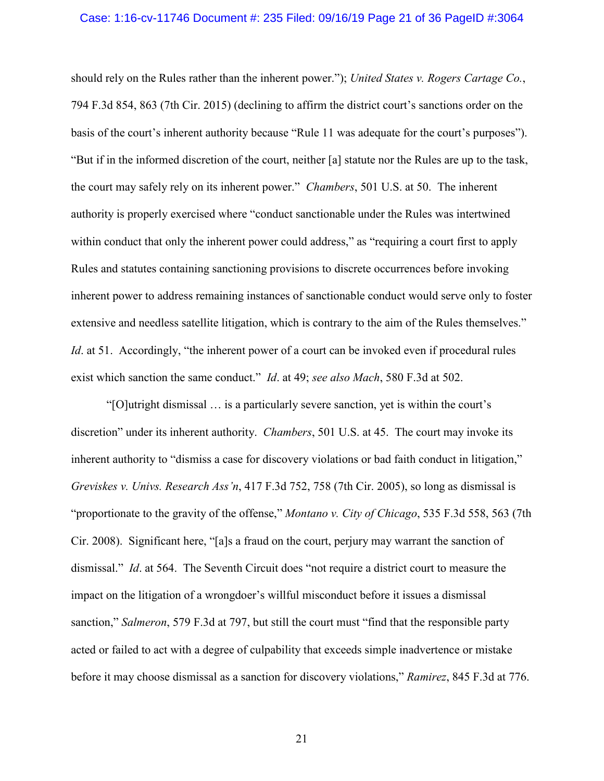## Case: 1:16-cv-11746 Document #: 235 Filed: 09/16/19 Page 21 of 36 PageID #:3064

should rely on the Rules rather than the inherent power."); *United States v. Rogers Cartage Co.*, 794 F.3d 854, 863 (7th Cir. 2015) (declining to affirm the district court's sanctions order on the basis of the court's inherent authority because "Rule 11 was adequate for the court's purposes"). "But if in the informed discretion of the court, neither [a] statute nor the Rules are up to the task, the court may safely rely on its inherent power." *Chambers*, 501 U.S. at 50. The inherent authority is properly exercised where "conduct sanctionable under the Rules was intertwined within conduct that only the inherent power could address," as "requiring a court first to apply Rules and statutes containing sanctioning provisions to discrete occurrences before invoking inherent power to address remaining instances of sanctionable conduct would serve only to foster extensive and needless satellite litigation, which is contrary to the aim of the Rules themselves." *Id.* at 51. Accordingly, "the inherent power of a court can be invoked even if procedural rules exist which sanction the same conduct." *Id*. at 49; *see also Mach*, 580 F.3d at 502.

"[O]utright dismissal … is a particularly severe sanction, yet is within the court's discretion" under its inherent authority. *Chambers*, 501 U.S. at 45. The court may invoke its inherent authority to "dismiss a case for discovery violations or bad faith conduct in litigation," *Greviskes v. Univs. Research Ass'n*, 417 F.3d 752, 758 (7th Cir. 2005), so long as dismissal is "proportionate to the gravity of the offense," *Montano v. City of Chicago*, 535 F.3d 558, 563 (7th Cir. 2008). Significant here, "[a]s a fraud on the court, perjury may warrant the sanction of dismissal." *Id*. at 564. The Seventh Circuit does "not require a district court to measure the impact on the litigation of a wrongdoer's willful misconduct before it issues a dismissal sanction," *Salmeron*, 579 F.3d at 797, but still the court must "find that the responsible party acted or failed to act with a degree of culpability that exceeds simple inadvertence or mistake before it may choose dismissal as a sanction for discovery violations," *Ramirez*, 845 F.3d at 776.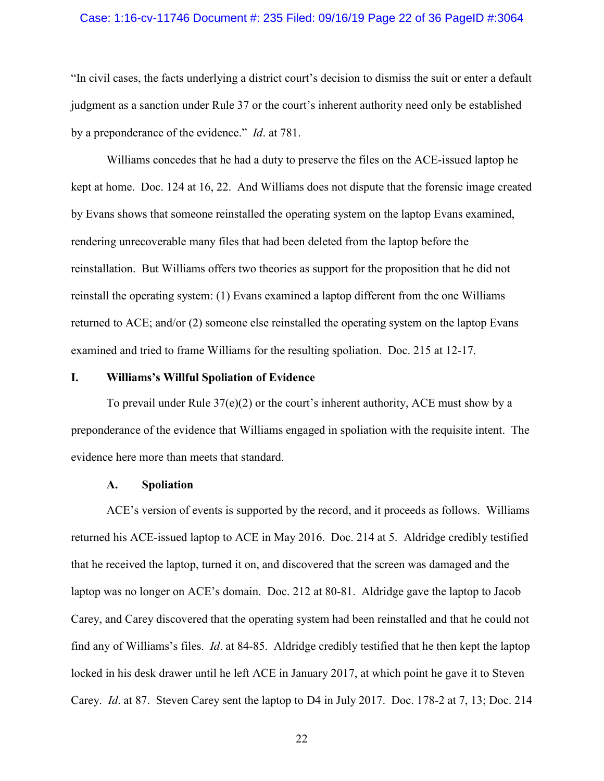## Case: 1:16-cv-11746 Document #: 235 Filed: 09/16/19 Page 22 of 36 PageID #:3064

"In civil cases, the facts underlying a district court's decision to dismiss the suit or enter a default judgment as a sanction under Rule 37 or the court's inherent authority need only be established by a preponderance of the evidence." *Id*. at 781.

Williams concedes that he had a duty to preserve the files on the ACE-issued laptop he kept at home. Doc. 124 at 16, 22. And Williams does not dispute that the forensic image created by Evans shows that someone reinstalled the operating system on the laptop Evans examined, rendering unrecoverable many files that had been deleted from the laptop before the reinstallation. But Williams offers two theories as support for the proposition that he did not reinstall the operating system: (1) Evans examined a laptop different from the one Williams returned to ACE; and/or (2) someone else reinstalled the operating system on the laptop Evans examined and tried to frame Williams for the resulting spoliation. Doc. 215 at 12-17.

## **I. Williams's Willful Spoliation of Evidence**

To prevail under Rule  $37(e)(2)$  or the court's inherent authority, ACE must show by a preponderance of the evidence that Williams engaged in spoliation with the requisite intent. The evidence here more than meets that standard.

## **A. Spoliation**

ACE's version of events is supported by the record, and it proceeds as follows. Williams returned his ACE-issued laptop to ACE in May 2016. Doc. 214 at 5. Aldridge credibly testified that he received the laptop, turned it on, and discovered that the screen was damaged and the laptop was no longer on ACE's domain. Doc. 212 at 80-81. Aldridge gave the laptop to Jacob Carey, and Carey discovered that the operating system had been reinstalled and that he could not find any of Williams's files. *Id*. at 84-85. Aldridge credibly testified that he then kept the laptop locked in his desk drawer until he left ACE in January 2017, at which point he gave it to Steven Carey. *Id*. at 87. Steven Carey sent the laptop to D4 in July 2017. Doc. 178-2 at 7, 13; Doc. 214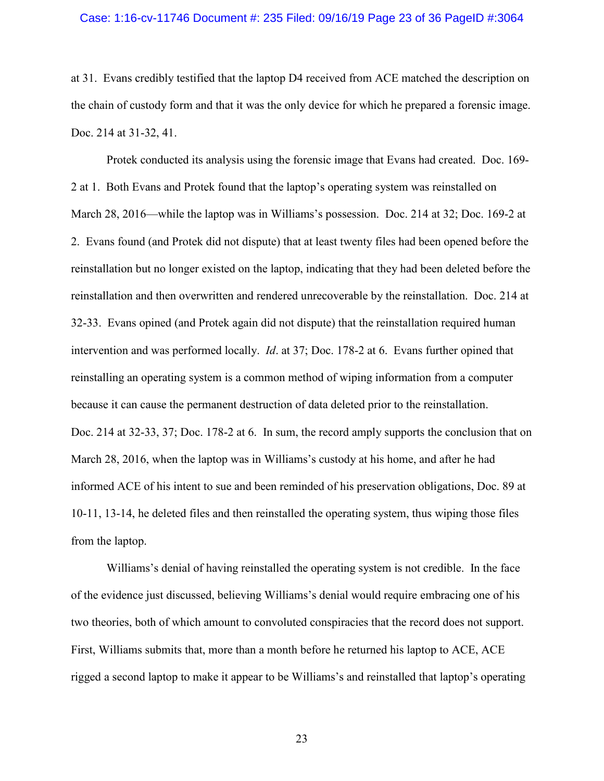## Case: 1:16-cv-11746 Document #: 235 Filed: 09/16/19 Page 23 of 36 PageID #:3064

at 31. Evans credibly testified that the laptop D4 received from ACE matched the description on the chain of custody form and that it was the only device for which he prepared a forensic image. Doc. 214 at 31-32, 41.

Protek conducted its analysis using the forensic image that Evans had created. Doc. 169- 2 at 1. Both Evans and Protek found that the laptop's operating system was reinstalled on March 28, 2016—while the laptop was in Williams's possession. Doc. 214 at 32; Doc. 169-2 at 2. Evans found (and Protek did not dispute) that at least twenty files had been opened before the reinstallation but no longer existed on the laptop, indicating that they had been deleted before the reinstallation and then overwritten and rendered unrecoverable by the reinstallation. Doc. 214 at 32-33. Evans opined (and Protek again did not dispute) that the reinstallation required human intervention and was performed locally. *Id*. at 37; Doc. 178-2 at 6. Evans further opined that reinstalling an operating system is a common method of wiping information from a computer because it can cause the permanent destruction of data deleted prior to the reinstallation. Doc. 214 at 32-33, 37; Doc. 178-2 at 6. In sum, the record amply supports the conclusion that on March 28, 2016, when the laptop was in Williams's custody at his home, and after he had informed ACE of his intent to sue and been reminded of his preservation obligations, Doc. 89 at 10-11, 13-14, he deleted files and then reinstalled the operating system, thus wiping those files from the laptop.

Williams's denial of having reinstalled the operating system is not credible. In the face of the evidence just discussed, believing Williams's denial would require embracing one of his two theories, both of which amount to convoluted conspiracies that the record does not support. First, Williams submits that, more than a month before he returned his laptop to ACE, ACE rigged a second laptop to make it appear to be Williams's and reinstalled that laptop's operating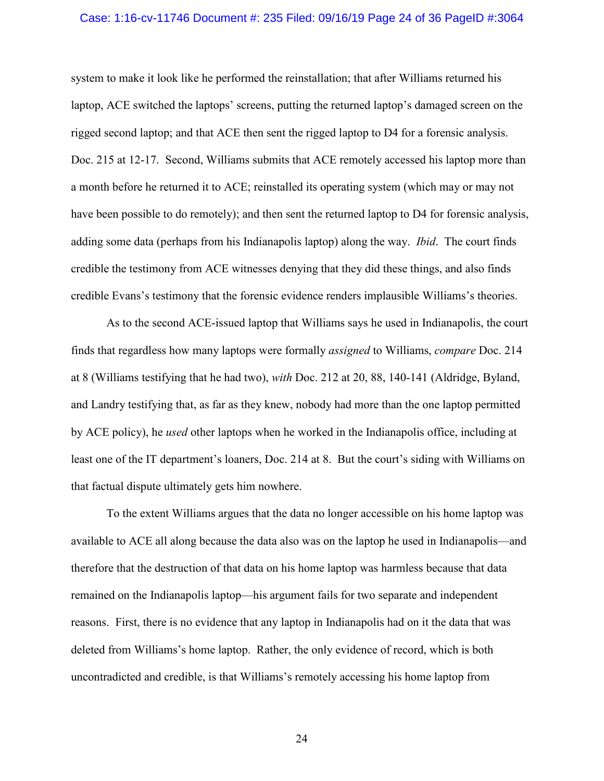## Case: 1:16-cv-11746 Document #: 235 Filed: 09/16/19 Page 24 of 36 PageID #:3064

system to make it look like he performed the reinstallation; that after Williams returned his laptop, ACE switched the laptops' screens, putting the returned laptop's damaged screen on the rigged second laptop; and that ACE then sent the rigged laptop to D4 for a forensic analysis. Doc. 215 at 12-17. Second, Williams submits that ACE remotely accessed his laptop more than a month before he returned it to ACE; reinstalled its operating system (which may or may not have been possible to do remotely); and then sent the returned laptop to D4 for forensic analysis, adding some data (perhaps from his Indianapolis laptop) along the way. *Ibid*. The court finds credible the testimony from ACE witnesses denying that they did these things, and also finds credible Evans's testimony that the forensic evidence renders implausible Williams's theories.

As to the second ACE-issued laptop that Williams says he used in Indianapolis, the court finds that regardless how many laptops were formally *assigned* to Williams, *compare* Doc. 214 at 8 (Williams testifying that he had two), *with* Doc. 212 at 20, 88, 140-141 (Aldridge, Byland, and Landry testifying that, as far as they knew, nobody had more than the one laptop permitted by ACE policy), he *used* other laptops when he worked in the Indianapolis office, including at least one of the IT department's loaners, Doc. 214 at 8. But the court's siding with Williams on that factual dispute ultimately gets him nowhere.

To the extent Williams argues that the data no longer accessible on his home laptop was available to ACE all along because the data also was on the laptop he used in Indianapolis—and therefore that the destruction of that data on his home laptop was harmless because that data remained on the Indianapolis laptop—his argument fails for two separate and independent reasons. First, there is no evidence that any laptop in Indianapolis had on it the data that was deleted from Williams's home laptop. Rather, the only evidence of record, which is both uncontradicted and credible, is that Williams's remotely accessing his home laptop from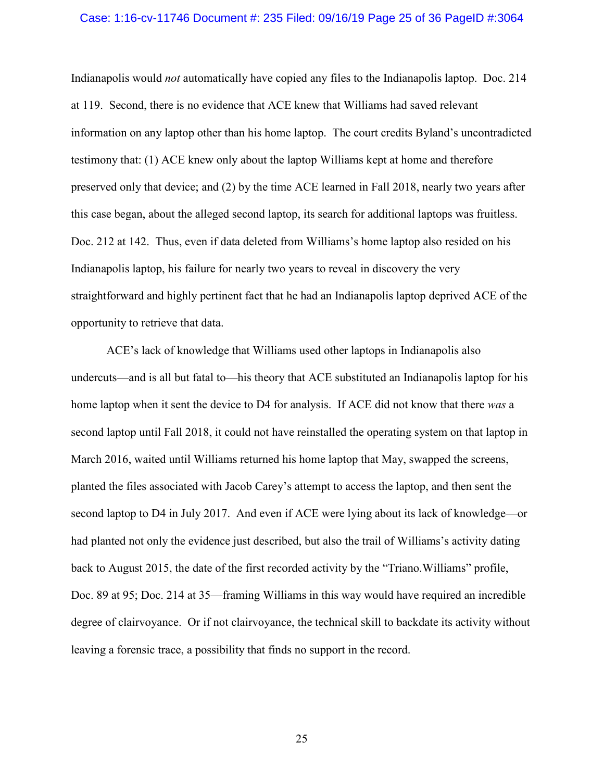## Case: 1:16-cv-11746 Document #: 235 Filed: 09/16/19 Page 25 of 36 PageID #:3064

Indianapolis would *not* automatically have copied any files to the Indianapolis laptop. Doc. 214 at 119. Second, there is no evidence that ACE knew that Williams had saved relevant information on any laptop other than his home laptop. The court credits Byland's uncontradicted testimony that: (1) ACE knew only about the laptop Williams kept at home and therefore preserved only that device; and (2) by the time ACE learned in Fall 2018, nearly two years after this case began, about the alleged second laptop, its search for additional laptops was fruitless. Doc. 212 at 142. Thus, even if data deleted from Williams's home laptop also resided on his Indianapolis laptop, his failure for nearly two years to reveal in discovery the very straightforward and highly pertinent fact that he had an Indianapolis laptop deprived ACE of the opportunity to retrieve that data.

ACE's lack of knowledge that Williams used other laptops in Indianapolis also undercuts—and is all but fatal to—his theory that ACE substituted an Indianapolis laptop for his home laptop when it sent the device to D4 for analysis. If ACE did not know that there *was* a second laptop until Fall 2018, it could not have reinstalled the operating system on that laptop in March 2016, waited until Williams returned his home laptop that May, swapped the screens, planted the files associated with Jacob Carey's attempt to access the laptop, and then sent the second laptop to D4 in July 2017. And even if ACE were lying about its lack of knowledge—or had planted not only the evidence just described, but also the trail of Williams's activity dating back to August 2015, the date of the first recorded activity by the "Triano.Williams" profile, Doc. 89 at 95; Doc. 214 at 35—framing Williams in this way would have required an incredible degree of clairvoyance. Or if not clairvoyance, the technical skill to backdate its activity without leaving a forensic trace, a possibility that finds no support in the record.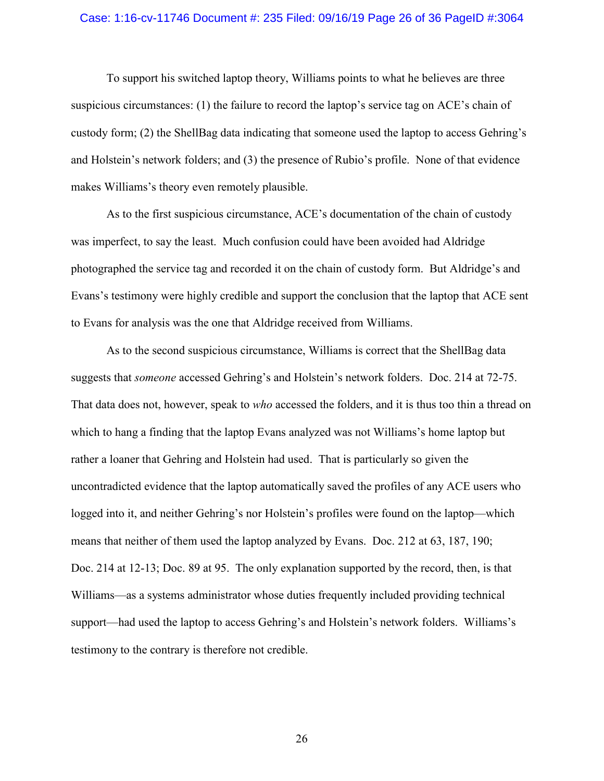## Case: 1:16-cv-11746 Document #: 235 Filed: 09/16/19 Page 26 of 36 PageID #:3064

To support his switched laptop theory, Williams points to what he believes are three suspicious circumstances: (1) the failure to record the laptop's service tag on ACE's chain of custody form; (2) the ShellBag data indicating that someone used the laptop to access Gehring's and Holstein's network folders; and (3) the presence of Rubio's profile. None of that evidence makes Williams's theory even remotely plausible.

As to the first suspicious circumstance, ACE's documentation of the chain of custody was imperfect, to say the least. Much confusion could have been avoided had Aldridge photographed the service tag and recorded it on the chain of custody form. But Aldridge's and Evans's testimony were highly credible and support the conclusion that the laptop that ACE sent to Evans for analysis was the one that Aldridge received from Williams.

As to the second suspicious circumstance, Williams is correct that the ShellBag data suggests that *someone* accessed Gehring's and Holstein's network folders. Doc. 214 at 72-75. That data does not, however, speak to *who* accessed the folders, and it is thus too thin a thread on which to hang a finding that the laptop Evans analyzed was not Williams's home laptop but rather a loaner that Gehring and Holstein had used. That is particularly so given the uncontradicted evidence that the laptop automatically saved the profiles of any ACE users who logged into it, and neither Gehring's nor Holstein's profiles were found on the laptop—which means that neither of them used the laptop analyzed by Evans. Doc. 212 at 63, 187, 190; Doc. 214 at 12-13; Doc. 89 at 95. The only explanation supported by the record, then, is that Williams—as a systems administrator whose duties frequently included providing technical support—had used the laptop to access Gehring's and Holstein's network folders. Williams's testimony to the contrary is therefore not credible.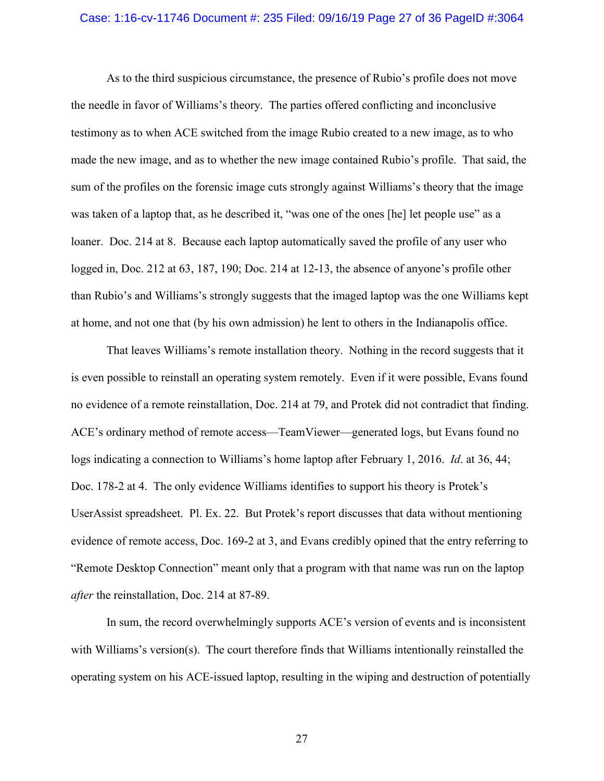## Case: 1:16-cv-11746 Document #: 235 Filed: 09/16/19 Page 27 of 36 PageID #:3064

As to the third suspicious circumstance, the presence of Rubio's profile does not move the needle in favor of Williams's theory. The parties offered conflicting and inconclusive testimony as to when ACE switched from the image Rubio created to a new image, as to who made the new image, and as to whether the new image contained Rubio's profile. That said, the sum of the profiles on the forensic image cuts strongly against Williams's theory that the image was taken of a laptop that, as he described it, "was one of the ones [he] let people use" as a loaner. Doc. 214 at 8. Because each laptop automatically saved the profile of any user who logged in, Doc. 212 at 63, 187, 190; Doc. 214 at 12-13, the absence of anyone's profile other than Rubio's and Williams's strongly suggests that the imaged laptop was the one Williams kept at home, and not one that (by his own admission) he lent to others in the Indianapolis office.

That leaves Williams's remote installation theory. Nothing in the record suggests that it is even possible to reinstall an operating system remotely. Even if it were possible, Evans found no evidence of a remote reinstallation, Doc. 214 at 79, and Protek did not contradict that finding. ACE's ordinary method of remote access—TeamViewer—generated logs, but Evans found no logs indicating a connection to Williams's home laptop after February 1, 2016. *Id*. at 36, 44; Doc. 178-2 at 4. The only evidence Williams identifies to support his theory is Protek's UserAssist spreadsheet. Pl. Ex. 22. But Protek's report discusses that data without mentioning evidence of remote access, Doc. 169-2 at 3, and Evans credibly opined that the entry referring to "Remote Desktop Connection" meant only that a program with that name was run on the laptop *after* the reinstallation, Doc. 214 at 87-89.

In sum, the record overwhelmingly supports ACE's version of events and is inconsistent with Williams's version(s). The court therefore finds that Williams intentionally reinstalled the operating system on his ACE-issued laptop, resulting in the wiping and destruction of potentially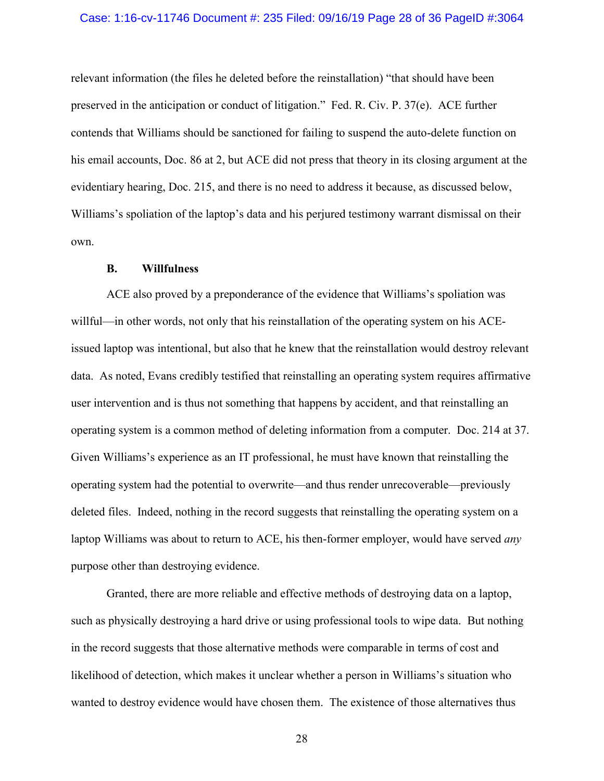## Case: 1:16-cv-11746 Document #: 235 Filed: 09/16/19 Page 28 of 36 PageID #:3064

relevant information (the files he deleted before the reinstallation) "that should have been preserved in the anticipation or conduct of litigation." Fed. R. Civ. P. 37(e). ACE further contends that Williams should be sanctioned for failing to suspend the auto-delete function on his email accounts, Doc. 86 at 2, but ACE did not press that theory in its closing argument at the evidentiary hearing, Doc. 215, and there is no need to address it because, as discussed below, Williams's spoliation of the laptop's data and his perjured testimony warrant dismissal on their own.

## **B. Willfulness**

ACE also proved by a preponderance of the evidence that Williams's spoliation was willful—in other words, not only that his reinstallation of the operating system on his ACEissued laptop was intentional, but also that he knew that the reinstallation would destroy relevant data. As noted, Evans credibly testified that reinstalling an operating system requires affirmative user intervention and is thus not something that happens by accident, and that reinstalling an operating system is a common method of deleting information from a computer. Doc. 214 at 37. Given Williams's experience as an IT professional, he must have known that reinstalling the operating system had the potential to overwrite—and thus render unrecoverable—previously deleted files. Indeed, nothing in the record suggests that reinstalling the operating system on a laptop Williams was about to return to ACE, his then-former employer, would have served *any*  purpose other than destroying evidence.

Granted, there are more reliable and effective methods of destroying data on a laptop, such as physically destroying a hard drive or using professional tools to wipe data. But nothing in the record suggests that those alternative methods were comparable in terms of cost and likelihood of detection, which makes it unclear whether a person in Williams's situation who wanted to destroy evidence would have chosen them. The existence of those alternatives thus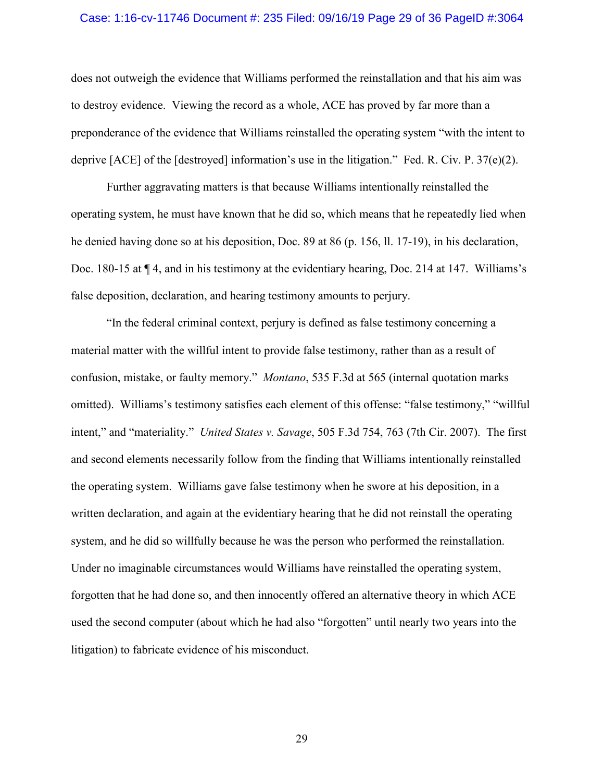## Case: 1:16-cv-11746 Document #: 235 Filed: 09/16/19 Page 29 of 36 PageID #:3064

does not outweigh the evidence that Williams performed the reinstallation and that his aim was to destroy evidence. Viewing the record as a whole, ACE has proved by far more than a preponderance of the evidence that Williams reinstalled the operating system "with the intent to deprive [ACE] of the [destroyed] information's use in the litigation." Fed. R. Civ. P. 37(e)(2).

Further aggravating matters is that because Williams intentionally reinstalled the operating system, he must have known that he did so, which means that he repeatedly lied when he denied having done so at his deposition, Doc. 89 at 86 (p. 156, ll. 17-19), in his declaration, Doc. 180-15 at  $\P$  4, and in his testimony at the evidentiary hearing, Doc. 214 at 147. Williams's false deposition, declaration, and hearing testimony amounts to perjury.

"In the federal criminal context, perjury is defined as false testimony concerning a material matter with the willful intent to provide false testimony, rather than as a result of confusion, mistake, or faulty memory." *Montano*, 535 F.3d at 565 (internal quotation marks omitted). Williams's testimony satisfies each element of this offense: "false testimony," "willful intent," and "materiality." *United States v. Savage*, 505 F.3d 754, 763 (7th Cir. 2007). The first and second elements necessarily follow from the finding that Williams intentionally reinstalled the operating system. Williams gave false testimony when he swore at his deposition, in a written declaration, and again at the evidentiary hearing that he did not reinstall the operating system, and he did so willfully because he was the person who performed the reinstallation. Under no imaginable circumstances would Williams have reinstalled the operating system, forgotten that he had done so, and then innocently offered an alternative theory in which ACE used the second computer (about which he had also "forgotten" until nearly two years into the litigation) to fabricate evidence of his misconduct.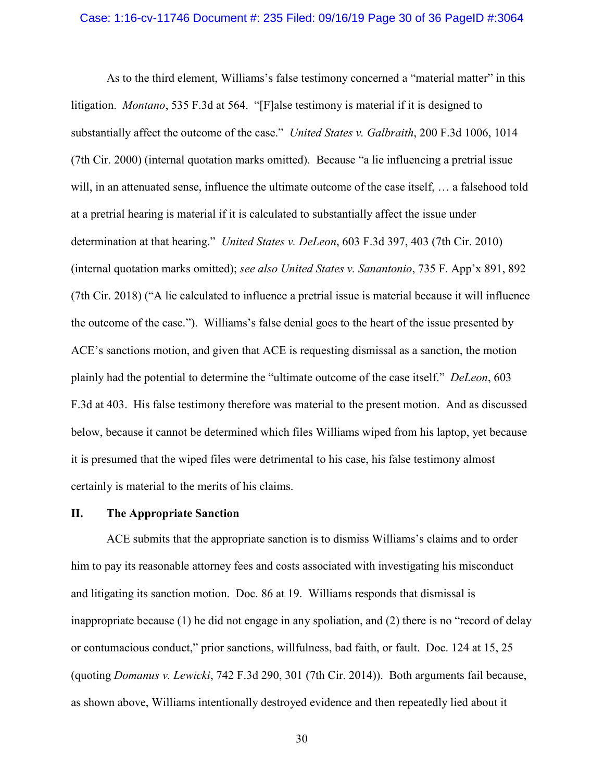## Case: 1:16-cv-11746 Document #: 235 Filed: 09/16/19 Page 30 of 36 PageID #:3064

As to the third element, Williams's false testimony concerned a "material matter" in this litigation. *Montano*, 535 F.3d at 564. "[F]alse testimony is material if it is designed to substantially affect the outcome of the case." *United States v. Galbraith*, 200 F.3d 1006, 1014 (7th Cir. 2000) (internal quotation marks omitted). Because "a lie influencing a pretrial issue will, in an attenuated sense, influence the ultimate outcome of the case itself, … a falsehood told at a pretrial hearing is material if it is calculated to substantially affect the issue under determination at that hearing." *United States v. DeLeon*, 603 F.3d 397, 403 (7th Cir. 2010) (internal quotation marks omitted); *see also United States v. Sanantonio*, 735 F. App'x 891, 892 (7th Cir. 2018) ("A lie calculated to influence a pretrial issue is material because it will influence the outcome of the case."). Williams's false denial goes to the heart of the issue presented by ACE's sanctions motion, and given that ACE is requesting dismissal as a sanction, the motion plainly had the potential to determine the "ultimate outcome of the case itself." *DeLeon*, 603 F.3d at 403. His false testimony therefore was material to the present motion. And as discussed below, because it cannot be determined which files Williams wiped from his laptop, yet because it is presumed that the wiped files were detrimental to his case, his false testimony almost certainly is material to the merits of his claims.

## **II. The Appropriate Sanction**

ACE submits that the appropriate sanction is to dismiss Williams's claims and to order him to pay its reasonable attorney fees and costs associated with investigating his misconduct and litigating its sanction motion. Doc. 86 at 19. Williams responds that dismissal is inappropriate because (1) he did not engage in any spoliation, and (2) there is no "record of delay or contumacious conduct," prior sanctions, willfulness, bad faith, or fault. Doc. 124 at 15, 25 (quoting *Domanus v. Lewicki*, 742 F.3d 290, 301 (7th Cir. 2014)). Both arguments fail because, as shown above, Williams intentionally destroyed evidence and then repeatedly lied about it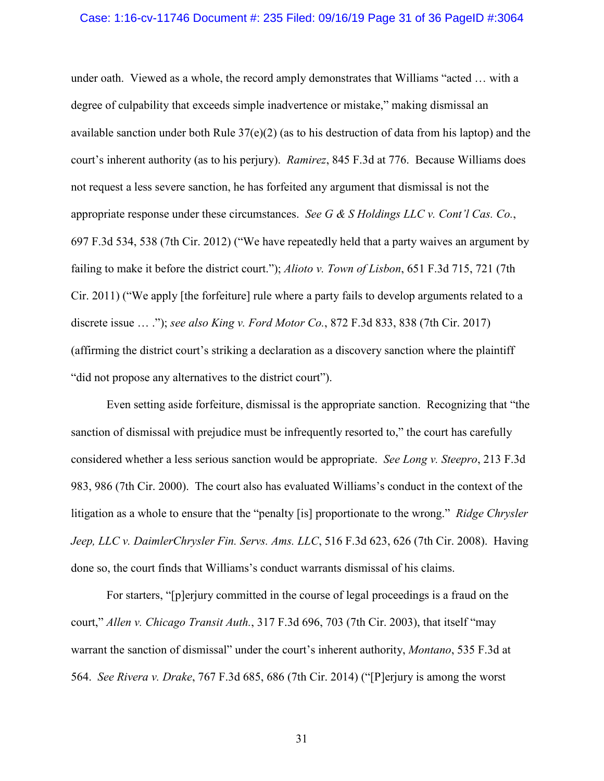## Case: 1:16-cv-11746 Document #: 235 Filed: 09/16/19 Page 31 of 36 PageID #:3064

under oath. Viewed as a whole, the record amply demonstrates that Williams "acted … with a degree of culpability that exceeds simple inadvertence or mistake," making dismissal an available sanction under both Rule 37(e)(2) (as to his destruction of data from his laptop) and the court's inherent authority (as to his perjury). *Ramirez*, 845 F.3d at 776. Because Williams does not request a less severe sanction, he has forfeited any argument that dismissal is not the appropriate response under these circumstances. *See G & S Holdings LLC v. Cont'l Cas. Co.*, 697 F.3d 534, 538 (7th Cir. 2012) ("We have repeatedly held that a party waives an argument by failing to make it before the district court."); *Alioto v. Town of Lisbon*, 651 F.3d 715, 721 (7th Cir. 2011) ("We apply [the forfeiture] rule where a party fails to develop arguments related to a discrete issue … ."); *see also King v. Ford Motor Co.*, 872 F.3d 833, 838 (7th Cir. 2017) (affirming the district court's striking a declaration as a discovery sanction where the plaintiff "did not propose any alternatives to the district court").

Even setting aside forfeiture, dismissal is the appropriate sanction. Recognizing that "the sanction of dismissal with prejudice must be infrequently resorted to," the court has carefully considered whether a less serious sanction would be appropriate. *See Long v. Steepro*, 213 F.3d 983, 986 (7th Cir. 2000). The court also has evaluated Williams's conduct in the context of the litigation as a whole to ensure that the "penalty [is] proportionate to the wrong." *Ridge Chrysler Jeep, LLC v. DaimlerChrysler Fin. Servs. Ams. LLC*, 516 F.3d 623, 626 (7th Cir. 2008). Having done so, the court finds that Williams's conduct warrants dismissal of his claims.

For starters, "[p]erjury committed in the course of legal proceedings is a fraud on the court," *Allen v. Chicago Transit Auth.*, 317 F.3d 696, 703 (7th Cir. 2003), that itself "may warrant the sanction of dismissal" under the court's inherent authority, *Montano*, 535 F.3d at 564. *See Rivera v. Drake*, 767 F.3d 685, 686 (7th Cir. 2014) ("[P]erjury is among the worst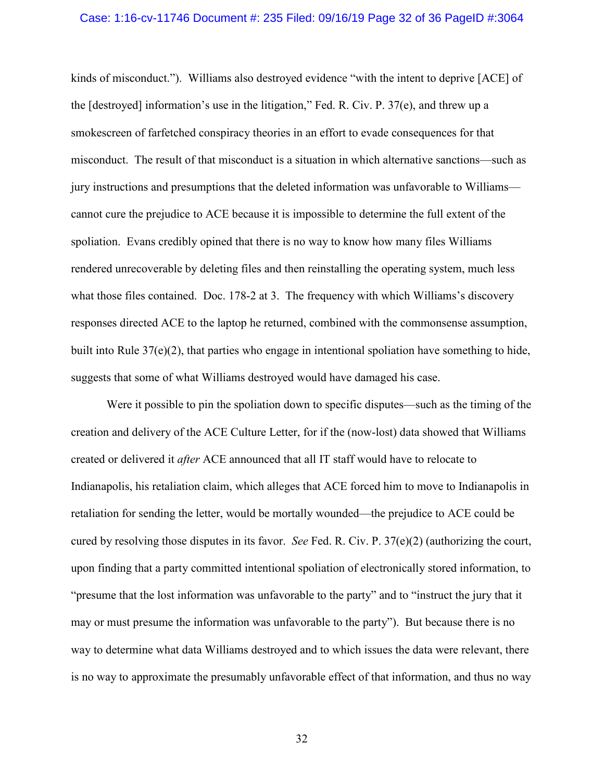## Case: 1:16-cv-11746 Document #: 235 Filed: 09/16/19 Page 32 of 36 PageID #:3064

kinds of misconduct."). Williams also destroyed evidence "with the intent to deprive [ACE] of the [destroyed] information's use in the litigation," Fed. R. Civ. P. 37(e), and threw up a smokescreen of farfetched conspiracy theories in an effort to evade consequences for that misconduct. The result of that misconduct is a situation in which alternative sanctions—such as jury instructions and presumptions that the deleted information was unfavorable to Williams cannot cure the prejudice to ACE because it is impossible to determine the full extent of the spoliation. Evans credibly opined that there is no way to know how many files Williams rendered unrecoverable by deleting files and then reinstalling the operating system, much less what those files contained. Doc. 178-2 at 3. The frequency with which Williams's discovery responses directed ACE to the laptop he returned, combined with the commonsense assumption, built into Rule  $37(e)(2)$ , that parties who engage in intentional spoliation have something to hide, suggests that some of what Williams destroyed would have damaged his case.

Were it possible to pin the spoliation down to specific disputes—such as the timing of the creation and delivery of the ACE Culture Letter, for if the (now-lost) data showed that Williams created or delivered it *after* ACE announced that all IT staff would have to relocate to Indianapolis, his retaliation claim, which alleges that ACE forced him to move to Indianapolis in retaliation for sending the letter, would be mortally wounded—the prejudice to ACE could be cured by resolving those disputes in its favor. *See* Fed. R. Civ. P. 37(e)(2) (authorizing the court, upon finding that a party committed intentional spoliation of electronically stored information, to "presume that the lost information was unfavorable to the party" and to "instruct the jury that it may or must presume the information was unfavorable to the party"). But because there is no way to determine what data Williams destroyed and to which issues the data were relevant, there is no way to approximate the presumably unfavorable effect of that information, and thus no way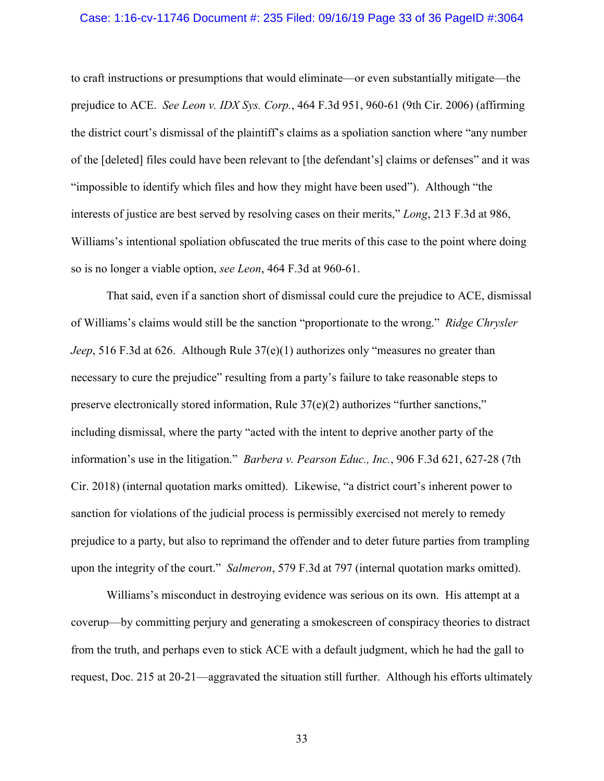## Case: 1:16-cv-11746 Document #: 235 Filed: 09/16/19 Page 33 of 36 PageID #:3064

to craft instructions or presumptions that would eliminate—or even substantially mitigate—the prejudice to ACE. *See Leon v. IDX Sys. Corp.*, 464 F.3d 951, 960-61 (9th Cir. 2006) (affirming the district court's dismissal of the plaintiff's claims as a spoliation sanction where "any number of the [deleted] files could have been relevant to [the defendant's] claims or defenses" and it was "impossible to identify which files and how they might have been used"). Although "the interests of justice are best served by resolving cases on their merits," *Long*, 213 F.3d at 986, Williams's intentional spoliation obfuscated the true merits of this case to the point where doing so is no longer a viable option, *see Leon*, 464 F.3d at 960-61.

That said, even if a sanction short of dismissal could cure the prejudice to ACE, dismissal of Williams's claims would still be the sanction "proportionate to the wrong." *Ridge Chrysler Jeep*, 516 F.3d at 626. Although Rule 37(e)(1) authorizes only "measures no greater than necessary to cure the prejudice" resulting from a party's failure to take reasonable steps to preserve electronically stored information, Rule 37(e)(2) authorizes "further sanctions," including dismissal, where the party "acted with the intent to deprive another party of the information's use in the litigation." *Barbera v. Pearson Educ., Inc.*, 906 F.3d 621, 627-28 (7th Cir. 2018) (internal quotation marks omitted). Likewise, "a district court's inherent power to sanction for violations of the judicial process is permissibly exercised not merely to remedy prejudice to a party, but also to reprimand the offender and to deter future parties from trampling upon the integrity of the court." *Salmeron*, 579 F.3d at 797 (internal quotation marks omitted).

Williams's misconduct in destroying evidence was serious on its own. His attempt at a coverup—by committing perjury and generating a smokescreen of conspiracy theories to distract from the truth, and perhaps even to stick ACE with a default judgment, which he had the gall to request, Doc. 215 at 20-21—aggravated the situation still further. Although his efforts ultimately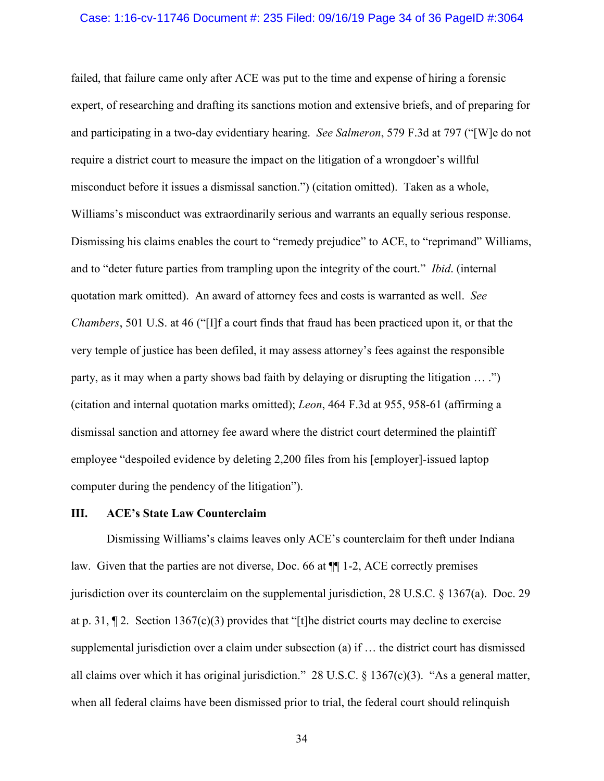## Case: 1:16-cv-11746 Document #: 235 Filed: 09/16/19 Page 34 of 36 PageID #:3064

failed, that failure came only after ACE was put to the time and expense of hiring a forensic expert, of researching and drafting its sanctions motion and extensive briefs, and of preparing for and participating in a two-day evidentiary hearing. *See Salmeron*, 579 F.3d at 797 ("[W]e do not require a district court to measure the impact on the litigation of a wrongdoer's willful misconduct before it issues a dismissal sanction.") (citation omitted). Taken as a whole, Williams's misconduct was extraordinarily serious and warrants an equally serious response. Dismissing his claims enables the court to "remedy prejudice" to ACE, to "reprimand" Williams, and to "deter future parties from trampling upon the integrity of the court." *Ibid*. (internal quotation mark omitted). An award of attorney fees and costs is warranted as well. *See Chambers*, 501 U.S. at 46 ("[I]f a court finds that fraud has been practiced upon it, or that the very temple of justice has been defiled, it may assess attorney's fees against the responsible party, as it may when a party shows bad faith by delaying or disrupting the litigation … .") (citation and internal quotation marks omitted); *Leon*, 464 F.3d at 955, 958-61 (affirming a dismissal sanction and attorney fee award where the district court determined the plaintiff employee "despoiled evidence by deleting 2,200 files from his [employer]-issued laptop computer during the pendency of the litigation").

## **III. ACE's State Law Counterclaim**

Dismissing Williams's claims leaves only ACE's counterclaim for theft under Indiana law. Given that the parties are not diverse, Doc. 66 at ¶¶ 1-2, ACE correctly premises jurisdiction over its counterclaim on the supplemental jurisdiction, 28 U.S.C. § 1367(a). Doc. 29 at p. 31,  $\P$  2. Section 1367(c)(3) provides that "[t]he district courts may decline to exercise supplemental jurisdiction over a claim under subsection (a) if … the district court has dismissed all claims over which it has original jurisdiction." 28 U.S.C. § 1367(c)(3). "As a general matter, when all federal claims have been dismissed prior to trial, the federal court should relinquish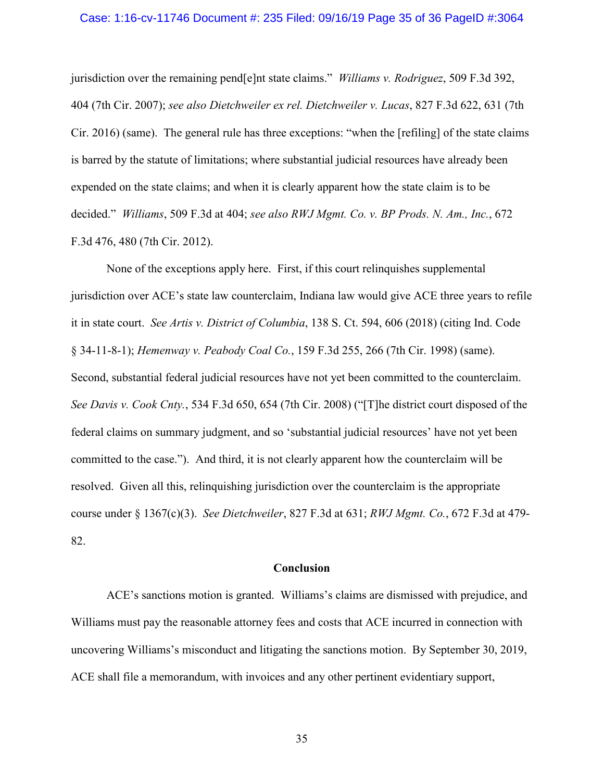## Case: 1:16-cv-11746 Document #: 235 Filed: 09/16/19 Page 35 of 36 PageID #:3064

jurisdiction over the remaining pend[e]nt state claims." *Williams v. Rodriguez*, 509 F.3d 392, 404 (7th Cir. 2007); *see also Dietchweiler ex rel. Dietchweiler v. Lucas*, 827 F.3d 622, 631 (7th Cir. 2016) (same). The general rule has three exceptions: "when the [refiling] of the state claims is barred by the statute of limitations; where substantial judicial resources have already been expended on the state claims; and when it is clearly apparent how the state claim is to be decided." *Williams*, 509 F.3d at 404; *see also RWJ Mgmt. Co. v. BP Prods. N. Am., Inc.*, 672 F.3d 476, 480 (7th Cir. 2012).

None of the exceptions apply here. First, if this court relinquishes supplemental jurisdiction over ACE's state law counterclaim, Indiana law would give ACE three years to refile it in state court. *See Artis v. District of Columbia*, 138 S. Ct. 594, 606 (2018) (citing Ind. Code § 34-11-8-1); *Hemenway v. Peabody Coal Co.*, 159 F.3d 255, 266 (7th Cir. 1998) (same). Second, substantial federal judicial resources have not yet been committed to the counterclaim. *See Davis v. Cook Cnty.*, 534 F.3d 650, 654 (7th Cir. 2008) ("[T]he district court disposed of the federal claims on summary judgment, and so 'substantial judicial resources' have not yet been committed to the case."). And third, it is not clearly apparent how the counterclaim will be resolved. Given all this, relinquishing jurisdiction over the counterclaim is the appropriate course under § 1367(c)(3). *See Dietchweiler*, 827 F.3d at 631; *RWJ Mgmt. Co.*, 672 F.3d at 479- 82.

## **Conclusion**

ACE's sanctions motion is granted. Williams's claims are dismissed with prejudice, and Williams must pay the reasonable attorney fees and costs that ACE incurred in connection with uncovering Williams's misconduct and litigating the sanctions motion. By September 30, 2019, ACE shall file a memorandum, with invoices and any other pertinent evidentiary support,